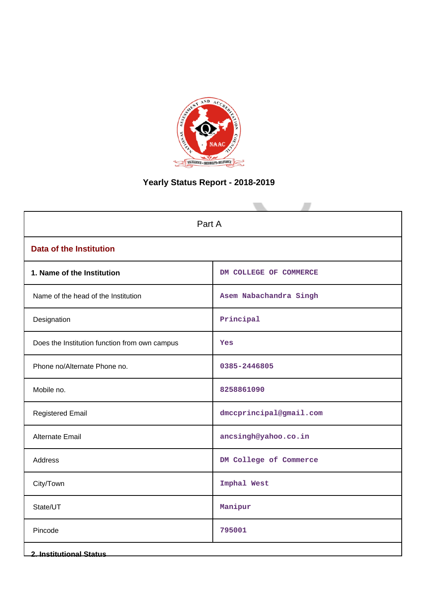

# **Yearly Status Report - 2018-2019**

| Part A                                        |                         |  |  |  |  |
|-----------------------------------------------|-------------------------|--|--|--|--|
| <b>Data of the Institution</b>                |                         |  |  |  |  |
| 1. Name of the Institution                    | DM COLLEGE OF COMMERCE  |  |  |  |  |
| Name of the head of the Institution           | Asem Nabachandra Singh  |  |  |  |  |
| Designation                                   | Principal               |  |  |  |  |
| Does the Institution function from own campus | Yes                     |  |  |  |  |
| Phone no/Alternate Phone no.                  | 0385-2446805            |  |  |  |  |
| Mobile no.                                    | 8258861090              |  |  |  |  |
| <b>Registered Email</b>                       | dmccprincipal@gmail.com |  |  |  |  |
| Alternate Email                               | ancsingh@yahoo.co.in    |  |  |  |  |
| Address                                       | DM College of Commerce  |  |  |  |  |
| City/Town                                     | Imphal West             |  |  |  |  |
| State/UT                                      | Manipur                 |  |  |  |  |
| Pincode                                       | 795001                  |  |  |  |  |
| <b>2. Institutional Status</b>                |                         |  |  |  |  |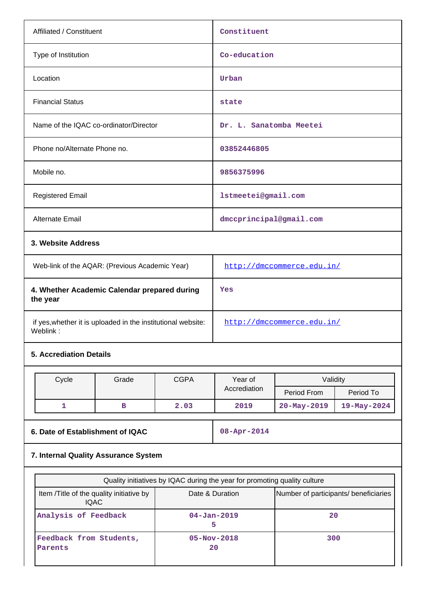| Affiliated / Constituent                                                 |                                                                                                                                      |             | Constituent                |                                                          |             |  |
|--------------------------------------------------------------------------|--------------------------------------------------------------------------------------------------------------------------------------|-------------|----------------------------|----------------------------------------------------------|-------------|--|
| Type of Institution                                                      |                                                                                                                                      |             | Co-education               |                                                          |             |  |
| Location                                                                 |                                                                                                                                      |             | Urban                      |                                                          |             |  |
| <b>Financial Status</b>                                                  |                                                                                                                                      |             | state                      |                                                          |             |  |
| Name of the IQAC co-ordinator/Director                                   |                                                                                                                                      |             | Dr. L. Sanatomba Meetei    |                                                          |             |  |
| Phone no/Alternate Phone no.                                             |                                                                                                                                      |             | 03852446805                |                                                          |             |  |
| Mobile no.                                                               |                                                                                                                                      |             | 9856375996                 |                                                          |             |  |
| <b>Registered Email</b>                                                  |                                                                                                                                      |             | 1stmeetei@gmail.com        |                                                          |             |  |
| Alternate Email                                                          |                                                                                                                                      |             | dmccprincipal@gmail.com    |                                                          |             |  |
| 3. Website Address                                                       |                                                                                                                                      |             |                            |                                                          |             |  |
| Web-link of the AQAR: (Previous Academic Year)                           |                                                                                                                                      |             | http://dmccommerce.edu.in/ |                                                          |             |  |
| 4. Whether Academic Calendar prepared during<br>the year                 |                                                                                                                                      |             | Yes                        |                                                          |             |  |
| if yes, whether it is uploaded in the institutional website:<br>Weblink: |                                                                                                                                      |             | http://dmccommerce.edu.in/ |                                                          |             |  |
| <b>5. Accrediation Details</b>                                           |                                                                                                                                      |             |                            |                                                          |             |  |
|                                                                          | Grade                                                                                                                                | <b>CGPA</b> | Year of                    | Validity                                                 |             |  |
| Cycle                                                                    |                                                                                                                                      |             | Accrediation               | Period From                                              | Period To   |  |
| 1                                                                        | в                                                                                                                                    | 2.03        | 2019                       | $20 - May - 2019$                                        | 19-May-2024 |  |
|                                                                          |                                                                                                                                      |             |                            |                                                          |             |  |
| 6. Date of Establishment of IQAC                                         |                                                                                                                                      |             | 08-Apr-2014                |                                                          |             |  |
| 7. Internal Quality Assurance System                                     |                                                                                                                                      |             |                            |                                                          |             |  |
|                                                                          |                                                                                                                                      |             |                            |                                                          |             |  |
|                                                                          | Quality initiatives by IQAC during the year for promoting quality culture<br>Item /Title of the quality initiative by<br><b>IQAC</b> |             |                            | Date & Duration<br>Number of participants/ beneficiaries |             |  |
| Analysis of Feedback                                                     |                                                                                                                                      |             | $04 - Jan - 2019$<br>5     | 20                                                       |             |  |
| Feedback from Students,                                                  |                                                                                                                                      |             | $05 - Nov - 2018$<br>300   |                                                          |             |  |

**20**

**Parents**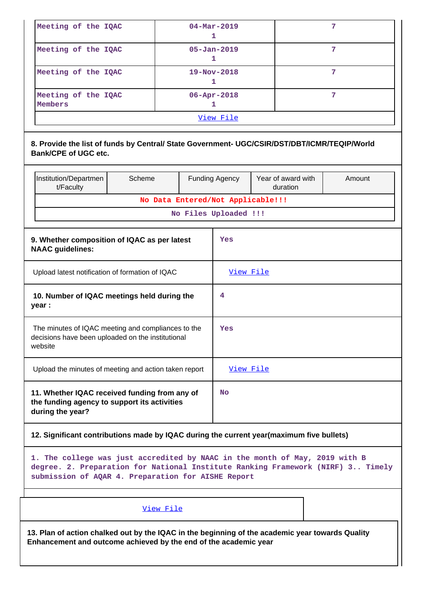| Meeting of the IQAC            | $04 - \text{Mar} - 2019$ |  |  |  |  |  |
|--------------------------------|--------------------------|--|--|--|--|--|
| Meeting of the IQAC            | $05 - Jan - 2019$        |  |  |  |  |  |
| Meeting of the IQAC            | $19 - Nov - 2018$        |  |  |  |  |  |
| Meeting of the IQAC<br>Members |                          |  |  |  |  |  |
| View File                      |                          |  |  |  |  |  |

# **8. Provide the list of funds by Central/ State Government- UGC/CSIR/DST/DBT/ICMR/TEQIP/World Bank/CPE of UGC etc.**

|                                                                                                                    | Institution/Departmen<br>t/Faculty                                                                                | Scheme                            |   | <b>Funding Agency</b> | Year of award with<br>duration | Amount |
|--------------------------------------------------------------------------------------------------------------------|-------------------------------------------------------------------------------------------------------------------|-----------------------------------|---|-----------------------|--------------------------------|--------|
|                                                                                                                    |                                                                                                                   | No Data Entered/Not Applicable!!! |   |                       |                                |        |
|                                                                                                                    |                                                                                                                   |                                   |   | No Files Uploaded !!! |                                |        |
| 9. Whether composition of IQAC as per latest<br><b>NAAC</b> guidelines:                                            |                                                                                                                   |                                   |   | Yes                   |                                |        |
| Upload latest notification of formation of IQAC                                                                    |                                                                                                                   |                                   |   | <u>View File</u>      |                                |        |
| 10. Number of IQAC meetings held during the<br>year :                                                              |                                                                                                                   |                                   | 4 |                       |                                |        |
| The minutes of IQAC meeting and compliances to the<br>decisions have been uploaded on the institutional<br>website |                                                                                                                   |                                   |   | Yes                   |                                |        |
|                                                                                                                    | Upload the minutes of meeting and action taken report                                                             |                                   |   | View File             |                                |        |
|                                                                                                                    | 11. Whether IQAC received funding from any of<br>the funding agency to support its activities<br>during the year? |                                   |   |                       |                                |        |

# **12. Significant contributions made by IQAC during the current year(maximum five bullets)**

**1. The college was just accredited by NAAC in the month of May, 2019 with B degree. 2. Preparation for National Institute Ranking Framework (NIRF) 3.. Timely submission of AQAR 4. Preparation for AISHE Report**

# [View File](https://assessmentonline.naac.gov.in/public/Postacc/Contribution/4505_Contribution.xlsx)

**13. Plan of action chalked out by the IQAC in the beginning of the academic year towards Quality Enhancement and outcome achieved by the end of the academic year**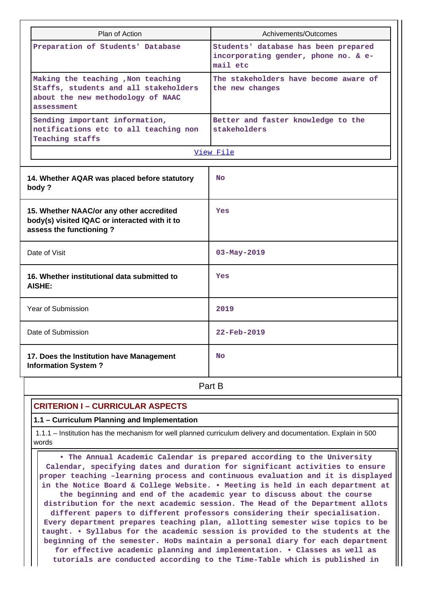| Plan of Action                                                                                                                 | Achivements/Outcomes                                                                     |  |  |  |  |
|--------------------------------------------------------------------------------------------------------------------------------|------------------------------------------------------------------------------------------|--|--|--|--|
| Preparation of Students' Database                                                                                              | Students' database has been prepared<br>incorporating gender, phone no. & e-<br>mail etc |  |  |  |  |
| Making the teaching , Non teaching<br>Staffs, students and all stakeholders<br>about the new methodology of NAAC<br>assessment | The stakeholders have become aware of<br>the new changes                                 |  |  |  |  |
| Sending important information,<br>notifications etc to all teaching non<br>Teaching staffs                                     | Better and faster knowledge to the<br>stakeholders                                       |  |  |  |  |
|                                                                                                                                | View File                                                                                |  |  |  |  |
| 14. Whether AQAR was placed before statutory<br>body?                                                                          | N <sub>O</sub>                                                                           |  |  |  |  |
| 15. Whether NAAC/or any other accredited<br>body(s) visited IQAC or interacted with it to<br>assess the functioning?           | Yes                                                                                      |  |  |  |  |
| Date of Visit                                                                                                                  | $03 - May - 2019$                                                                        |  |  |  |  |
| 16. Whether institutional data submitted to<br><b>AISHE:</b>                                                                   | Yes                                                                                      |  |  |  |  |
| Year of Submission                                                                                                             | 2019                                                                                     |  |  |  |  |
| Date of Submission                                                                                                             | 22-Feb-2019                                                                              |  |  |  |  |
| 17. Does the Institution have Management<br><b>Information System?</b>                                                         | <b>No</b>                                                                                |  |  |  |  |
|                                                                                                                                | Part B                                                                                   |  |  |  |  |

# **CRITERION I – CURRICULAR ASPECTS**

#### **1.1 – Curriculum Planning and Implementation**

 1.1.1 – Institution has the mechanism for well planned curriculum delivery and documentation. Explain in 500 words

 **• The Annual Academic Calendar is prepared according to the University Calendar, specifying dates and duration for significant activities to ensure proper teaching –learning process and continuous evaluation and it is displayed in the Notice Board & College Website. • Meeting is held in each department at the beginning and end of the academic year to discuss about the course distribution for the next academic session. The Head of the Department allots different papers to different professors considering their specialisation. Every department prepares teaching plan, allotting semester wise topics to be taught. • Syllabus for the academic session is provided to the students at the beginning of the semester. HoDs maintain a personal diary for each department for effective academic planning and implementation. • Classes as well as tutorials are conducted according to the Time-Table which is published in**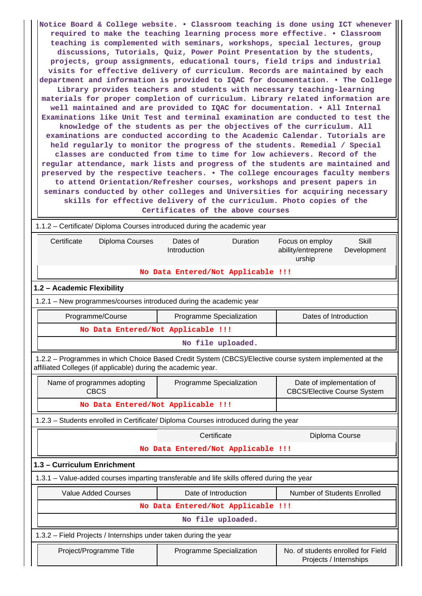**Notice Board & College website. • Classroom teaching is done using ICT whenever required to make the teaching learning process more effective. • Classroom teaching is complemented with seminars, workshops, special lectures, group discussions, Tutorials, Quiz, Power Point Presentation by the students, projects, group assignments, educational tours, field trips and industrial visits for effective delivery of curriculum. Records are maintained by each department and information is provided to IQAC for documentation. • The College Library provides teachers and students with necessary teaching-learning materials for proper completion of curriculum. Library related information are well maintained and are provided to IQAC for documentation. • All Internal Examinations like Unit Test and terminal examination are conducted to test the knowledge of the students as per the objectives of the curriculum. All examinations are conducted according to the Academic Calendar. Tutorials are held regularly to monitor the progress of the students. Remedial / Special classes are conducted from time to time for low achievers. Record of the regular attendance, mark lists and progress of the students are maintained and preserved by the respective teachers. • The college encourages faculty members to attend Orientation/Refresher courses, workshops and present papers in seminars conducted by other colleges and Universities for acquiring necessary skills for effective delivery of the curriculum. Photo copies of the Certificates of the above courses**

|                                                                                                                                                                          | 1.1.2 – Certificate/ Diploma Courses introduced during the academic year |                                                                                |  |  |  |  |  |  |  |  |  |
|--------------------------------------------------------------------------------------------------------------------------------------------------------------------------|--------------------------------------------------------------------------|--------------------------------------------------------------------------------|--|--|--|--|--|--|--|--|--|
| Certificate<br>Diploma Courses                                                                                                                                           | Dates of<br>Duration<br>Introduction                                     | <b>Skill</b><br>Focus on employ<br>ability/entreprene<br>Development<br>urship |  |  |  |  |  |  |  |  |  |
| No Data Entered/Not Applicable !!!                                                                                                                                       |                                                                          |                                                                                |  |  |  |  |  |  |  |  |  |
| 1.2 - Academic Flexibility                                                                                                                                               |                                                                          |                                                                                |  |  |  |  |  |  |  |  |  |
| 1.2.1 - New programmes/courses introduced during the academic year                                                                                                       |                                                                          |                                                                                |  |  |  |  |  |  |  |  |  |
| Programme/Course                                                                                                                                                         | Programme Specialization                                                 | Dates of Introduction                                                          |  |  |  |  |  |  |  |  |  |
| No Data Entered/Not Applicable !!!                                                                                                                                       |                                                                          |                                                                                |  |  |  |  |  |  |  |  |  |
|                                                                                                                                                                          | No file uploaded.                                                        |                                                                                |  |  |  |  |  |  |  |  |  |
| 1.2.2 - Programmes in which Choice Based Credit System (CBCS)/Elective course system implemented at the<br>affiliated Colleges (if applicable) during the academic year. |                                                                          |                                                                                |  |  |  |  |  |  |  |  |  |
| Name of programmes adopting<br><b>CBCS</b>                                                                                                                               | Date of implementation of<br><b>CBCS/Elective Course System</b>          |                                                                                |  |  |  |  |  |  |  |  |  |
| No Data Entered/Not Applicable !!!                                                                                                                                       |                                                                          |                                                                                |  |  |  |  |  |  |  |  |  |
| 1.2.3 - Students enrolled in Certificate/ Diploma Courses introduced during the year                                                                                     |                                                                          |                                                                                |  |  |  |  |  |  |  |  |  |
|                                                                                                                                                                          | Certificate                                                              | Diploma Course                                                                 |  |  |  |  |  |  |  |  |  |
|                                                                                                                                                                          | No Data Entered/Not Applicable !!!                                       |                                                                                |  |  |  |  |  |  |  |  |  |
| 1.3 - Curriculum Enrichment                                                                                                                                              |                                                                          |                                                                                |  |  |  |  |  |  |  |  |  |
| 1.3.1 - Value-added courses imparting transferable and life skills offered during the year                                                                               |                                                                          |                                                                                |  |  |  |  |  |  |  |  |  |
| <b>Value Added Courses</b>                                                                                                                                               | Date of Introduction                                                     | Number of Students Enrolled                                                    |  |  |  |  |  |  |  |  |  |
|                                                                                                                                                                          | No Data Entered/Not Applicable !!!                                       |                                                                                |  |  |  |  |  |  |  |  |  |
| No file uploaded.                                                                                                                                                        |                                                                          |                                                                                |  |  |  |  |  |  |  |  |  |
| 1.3.2 – Field Projects / Internships under taken during the year                                                                                                         |                                                                          |                                                                                |  |  |  |  |  |  |  |  |  |
| Project/Programme Title                                                                                                                                                  | Programme Specialization                                                 | No. of students enrolled for Field<br>Projects / Internships                   |  |  |  |  |  |  |  |  |  |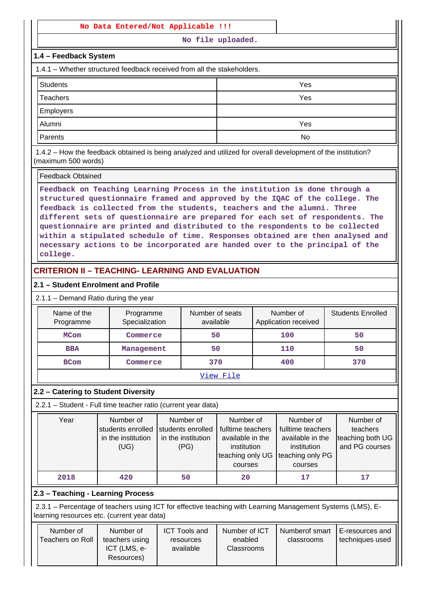#### **No Data Entered/Not Applicable !!!**

**No file uploaded.**

## **1.4 – Feedback System**

1.4.1 – Whether structured feedback received from all the stakeholders.

| <b>Students</b>  | Yes |
|------------------|-----|
| Teachers         | Yes |
| <b>Employers</b> |     |
| Alumni           | Yes |
| Parents          | No  |

 1.4.2 – How the feedback obtained is being analyzed and utilized for overall development of the institution? (maximum 500 words)

#### Feedback Obtained

**Feedback on Teaching Learning Process in the institution is done through a structured questionnaire framed and approved by the IQAC of the college. The feedback is collected from the students, teachers and the alumni. Three different sets of questionnaire are prepared for each set of respondents. The questionnaire are printed and distributed to the respondents to be collected within a stipulated schedule of time. Responses obtained are then analysed and necessary actions to be incorporated are handed over to the principal of the college.**

# **CRITERION II – TEACHING- LEARNING AND EVALUATION**

### **2.1 – Student Enrolment and Profile**

2.1.1 – Demand Ratio during the year

| Name of the<br>Programme | Programme<br>Specialization | Number of seats<br>available | Number of<br>Application received | <b>Students Enrolled</b> |  |  |
|--------------------------|-----------------------------|------------------------------|-----------------------------------|--------------------------|--|--|
| <b>MCom</b>              | Commerce                    | 50                           | 100                               | 50                       |  |  |
| <b>BBA</b>               | Management                  | 50                           | 110                               | 50                       |  |  |
| <b>BCom</b>              | Commerce                    | 370                          | 400                               | 370                      |  |  |
| View File                |                             |                              |                                   |                          |  |  |

# **2.2 – Catering to Student Diversity**

2.2.1 – Student - Full time teacher ratio (current year data)

| Year | Number of<br>students enrolled<br>in the institution<br>(UG) | Number of<br>students enrolled<br>in the institution<br>(PG) | Number of<br>fulltime teachers<br>available in the<br>institution<br>teaching only UG<br>courses | Number of<br>fulltime teachers<br>available in the<br>institution<br>teaching only PG<br>courses | Number of<br>teachers<br>teaching both UG<br>and PG courses |
|------|--------------------------------------------------------------|--------------------------------------------------------------|--------------------------------------------------------------------------------------------------|--------------------------------------------------------------------------------------------------|-------------------------------------------------------------|
| 2018 | 420                                                          | 50                                                           | 20                                                                                               | 17                                                                                               | 17                                                          |

# **2.3 – Teaching - Learning Process**

 2.3.1 – Percentage of teachers using ICT for effective teaching with Learning Management Systems (LMS), Elearning resources etc. (current year data)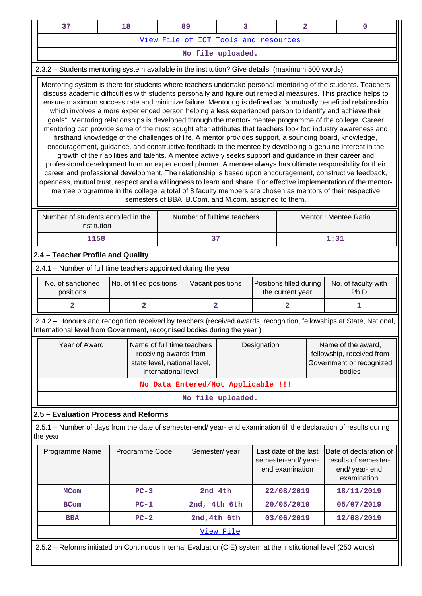| 37                                                                                                                                                                                                                                                                                                                                                                                                                                                                                                                                                                                                                                                                                                                                                                                                                                                                                                                                                                                                                                                                                                                                                                                                                                                                                                                                                                                                                                                                                                                                              |  | 18                      |                     | 89                                                                                  | 3                                    |             | $\overline{a}$                              |  | 0                                                                                                                   |
|-------------------------------------------------------------------------------------------------------------------------------------------------------------------------------------------------------------------------------------------------------------------------------------------------------------------------------------------------------------------------------------------------------------------------------------------------------------------------------------------------------------------------------------------------------------------------------------------------------------------------------------------------------------------------------------------------------------------------------------------------------------------------------------------------------------------------------------------------------------------------------------------------------------------------------------------------------------------------------------------------------------------------------------------------------------------------------------------------------------------------------------------------------------------------------------------------------------------------------------------------------------------------------------------------------------------------------------------------------------------------------------------------------------------------------------------------------------------------------------------------------------------------------------------------|--|-------------------------|---------------------|-------------------------------------------------------------------------------------|--------------------------------------|-------------|---------------------------------------------|--|---------------------------------------------------------------------------------------------------------------------|
|                                                                                                                                                                                                                                                                                                                                                                                                                                                                                                                                                                                                                                                                                                                                                                                                                                                                                                                                                                                                                                                                                                                                                                                                                                                                                                                                                                                                                                                                                                                                                 |  |                         |                     |                                                                                     | View File of ICT Tools and resources |             |                                             |  |                                                                                                                     |
|                                                                                                                                                                                                                                                                                                                                                                                                                                                                                                                                                                                                                                                                                                                                                                                                                                                                                                                                                                                                                                                                                                                                                                                                                                                                                                                                                                                                                                                                                                                                                 |  |                         |                     |                                                                                     | No file uploaded.                    |             |                                             |  |                                                                                                                     |
| 2.3.2 - Students mentoring system available in the institution? Give details. (maximum 500 words)                                                                                                                                                                                                                                                                                                                                                                                                                                                                                                                                                                                                                                                                                                                                                                                                                                                                                                                                                                                                                                                                                                                                                                                                                                                                                                                                                                                                                                               |  |                         |                     |                                                                                     |                                      |             |                                             |  |                                                                                                                     |
| Mentoring system is there for students where teachers undertake personal mentoring of the students. Teachers<br>discuss academic difficulties with students personally and figure out remedial measures. This practice helps to<br>ensure maximum success rate and minimize failure. Mentoring is defined as "a mutually beneficial relationship<br>which involves a more experienced person helping a less experienced person to identify and achieve their<br>goals". Mentoring relationships is developed through the mentor- mentee programme of the college. Career<br>mentoring can provide some of the most sought after attributes that teachers look for: industry awareness and<br>firsthand knowledge of the challenges of life. A mentor provides support, a sounding board, knowledge,<br>encouragement, guidance, and constructive feedback to the mentee by developing a genuine interest in the<br>growth of their abilities and talents. A mentee actively seeks support and guidance in their career and<br>professional development from an experienced planner. A mentee always has ultimate responsibility for their<br>career and professional development. The relationship is based upon encouragement, constructive feedback,<br>openness, mutual trust, respect and a willingness to learn and share. For effective implementation of the mentor-<br>mentee programme in the college, a total of 8 faculty members are chosen as mentors of their respective<br>semesters of BBA, B.Com. and M.com. assigned to them. |  |                         |                     |                                                                                     |                                      |             |                                             |  |                                                                                                                     |
| Number of students enrolled in the<br>Mentor: Mentee Ratio<br>Number of fulltime teachers<br>institution                                                                                                                                                                                                                                                                                                                                                                                                                                                                                                                                                                                                                                                                                                                                                                                                                                                                                                                                                                                                                                                                                                                                                                                                                                                                                                                                                                                                                                        |  |                         |                     |                                                                                     |                                      |             |                                             |  |                                                                                                                     |
| 1158<br>37<br>1:31                                                                                                                                                                                                                                                                                                                                                                                                                                                                                                                                                                                                                                                                                                                                                                                                                                                                                                                                                                                                                                                                                                                                                                                                                                                                                                                                                                                                                                                                                                                              |  |                         |                     |                                                                                     |                                      |             |                                             |  |                                                                                                                     |
| 2.4 - Teacher Profile and Quality                                                                                                                                                                                                                                                                                                                                                                                                                                                                                                                                                                                                                                                                                                                                                                                                                                                                                                                                                                                                                                                                                                                                                                                                                                                                                                                                                                                                                                                                                                               |  |                         |                     |                                                                                     |                                      |             |                                             |  |                                                                                                                     |
| 2.4.1 - Number of full time teachers appointed during the year                                                                                                                                                                                                                                                                                                                                                                                                                                                                                                                                                                                                                                                                                                                                                                                                                                                                                                                                                                                                                                                                                                                                                                                                                                                                                                                                                                                                                                                                                  |  |                         |                     |                                                                                     |                                      |             |                                             |  |                                                                                                                     |
| No. of sanctioned<br>positions                                                                                                                                                                                                                                                                                                                                                                                                                                                                                                                                                                                                                                                                                                                                                                                                                                                                                                                                                                                                                                                                                                                                                                                                                                                                                                                                                                                                                                                                                                                  |  | No. of filled positions |                     | Vacant positions                                                                    |                                      |             | Positions filled during<br>the current year |  | No. of faculty with<br>Ph.D                                                                                         |
| $\overline{2}$                                                                                                                                                                                                                                                                                                                                                                                                                                                                                                                                                                                                                                                                                                                                                                                                                                                                                                                                                                                                                                                                                                                                                                                                                                                                                                                                                                                                                                                                                                                                  |  | $\overline{2}$          |                     | $\overline{\mathbf{2}}$                                                             |                                      |             | $\overline{a}$                              |  | 1                                                                                                                   |
| International level from Government, recognised bodies during the year )                                                                                                                                                                                                                                                                                                                                                                                                                                                                                                                                                                                                                                                                                                                                                                                                                                                                                                                                                                                                                                                                                                                                                                                                                                                                                                                                                                                                                                                                        |  |                         |                     |                                                                                     |                                      |             |                                             |  | 2.4.2 - Honours and recognition received by teachers (received awards, recognition, fellowships at State, National, |
| Year of Award                                                                                                                                                                                                                                                                                                                                                                                                                                                                                                                                                                                                                                                                                                                                                                                                                                                                                                                                                                                                                                                                                                                                                                                                                                                                                                                                                                                                                                                                                                                                   |  |                         | international level | Name of full time teachers<br>receiving awards from<br>state level, national level, |                                      | Designation |                                             |  | Name of the award,<br>fellowship, received from<br>Government or recognized<br>bodies                               |
|                                                                                                                                                                                                                                                                                                                                                                                                                                                                                                                                                                                                                                                                                                                                                                                                                                                                                                                                                                                                                                                                                                                                                                                                                                                                                                                                                                                                                                                                                                                                                 |  |                         |                     |                                                                                     | No Data Entered/Not Applicable !!!   |             |                                             |  |                                                                                                                     |
|                                                                                                                                                                                                                                                                                                                                                                                                                                                                                                                                                                                                                                                                                                                                                                                                                                                                                                                                                                                                                                                                                                                                                                                                                                                                                                                                                                                                                                                                                                                                                 |  |                         |                     |                                                                                     | No file uploaded.                    |             |                                             |  |                                                                                                                     |
| 2.5 - Evaluation Process and Reforms                                                                                                                                                                                                                                                                                                                                                                                                                                                                                                                                                                                                                                                                                                                                                                                                                                                                                                                                                                                                                                                                                                                                                                                                                                                                                                                                                                                                                                                                                                            |  |                         |                     |                                                                                     |                                      |             |                                             |  |                                                                                                                     |
| the year                                                                                                                                                                                                                                                                                                                                                                                                                                                                                                                                                                                                                                                                                                                                                                                                                                                                                                                                                                                                                                                                                                                                                                                                                                                                                                                                                                                                                                                                                                                                        |  |                         |                     |                                                                                     |                                      |             |                                             |  | 2.5.1 – Number of days from the date of semester-end/ year- end examination till the declaration of results during  |
| Date of declaration of<br>Programme Name<br>Programme Code<br>Semester/year<br>Last date of the last<br>results of semester-<br>semester-end/year-<br>end examination<br>end/ year- end<br>examination                                                                                                                                                                                                                                                                                                                                                                                                                                                                                                                                                                                                                                                                                                                                                                                                                                                                                                                                                                                                                                                                                                                                                                                                                                                                                                                                          |  |                         |                     |                                                                                     |                                      |             |                                             |  |                                                                                                                     |
| <b>MCom</b>                                                                                                                                                                                                                                                                                                                                                                                                                                                                                                                                                                                                                                                                                                                                                                                                                                                                                                                                                                                                                                                                                                                                                                                                                                                                                                                                                                                                                                                                                                                                     |  | $PC-3$                  |                     | 2nd 4th                                                                             |                                      |             | 22/08/2019                                  |  | 18/11/2019                                                                                                          |
| <b>BCom</b>                                                                                                                                                                                                                                                                                                                                                                                                                                                                                                                                                                                                                                                                                                                                                                                                                                                                                                                                                                                                                                                                                                                                                                                                                                                                                                                                                                                                                                                                                                                                     |  | $PC-1$                  |                     | 2nd, 4th 6th                                                                        |                                      |             | 20/05/2019                                  |  | 05/07/2019                                                                                                          |
| <b>BBA</b>                                                                                                                                                                                                                                                                                                                                                                                                                                                                                                                                                                                                                                                                                                                                                                                                                                                                                                                                                                                                                                                                                                                                                                                                                                                                                                                                                                                                                                                                                                                                      |  | $PC-2$                  |                     | 2nd, 4th 6th                                                                        |                                      |             | 03/06/2019                                  |  | 12/08/2019                                                                                                          |
|                                                                                                                                                                                                                                                                                                                                                                                                                                                                                                                                                                                                                                                                                                                                                                                                                                                                                                                                                                                                                                                                                                                                                                                                                                                                                                                                                                                                                                                                                                                                                 |  |                         |                     |                                                                                     | View File                            |             |                                             |  |                                                                                                                     |
| 2.5.2 - Reforms initiated on Continuous Internal Evaluation(CIE) system at the institutional level (250 words)                                                                                                                                                                                                                                                                                                                                                                                                                                                                                                                                                                                                                                                                                                                                                                                                                                                                                                                                                                                                                                                                                                                                                                                                                                                                                                                                                                                                                                  |  |                         |                     |                                                                                     |                                      |             |                                             |  |                                                                                                                     |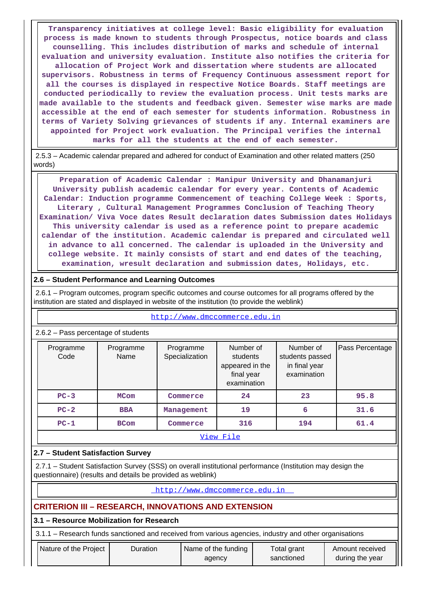**Transparency initiatives at college level: Basic eligibility for evaluation process is made known to students through Prospectus, notice boards and class counselling. This includes distribution of marks and schedule of internal evaluation and university evaluation. Institute also notifies the criteria for allocation of Project Work and dissertation where students are allocated supervisors. Robustness in terms of Frequency Continuous assessment report for all the courses is displayed in respective Notice Boards. Staff meetings are conducted periodically to review the evaluation process. Unit tests marks are made available to the students and feedback given. Semester wise marks are made accessible at the end of each semester for students information. Robustness in terms of Variety Solving grievances of students if any. Internal examiners are appointed for Project work evaluation. The Principal verifies the internal marks for all the students at the end of each semester.**

 2.5.3 – Academic calendar prepared and adhered for conduct of Examination and other related matters (250 words)

 **Preparation of Academic Calendar : Manipur University and Dhanamanjuri University publish academic calendar for every year. Contents of Academic Calendar: Induction programme Commencement of teaching College Week : Sports, Literary , Cultural Management Programmes Conclusion of Teaching Theory Examination/ Viva Voce dates Result declaration dates Submission dates Holidays This university calendar is used as a reference point to prepare academic calendar of the institution. Academic calendar is prepared and circulated well in advance to all concerned. The calendar is uploaded in the University and college website. It mainly consists of start and end dates of the teaching, examination, wresult declaration and submission dates, Holidays, etc.**

# **2.6 – Student Performance and Learning Outcomes**

 2.6.1 – Program outcomes, program specific outcomes and course outcomes for all programs offered by the institution are stated and displayed in website of the institution (to provide the weblink)

| $2.6.2$ – Pass percentage of students |                   |                             |                                                                       |                                                              |                 |  |  |  |  |
|---------------------------------------|-------------------|-----------------------------|-----------------------------------------------------------------------|--------------------------------------------------------------|-----------------|--|--|--|--|
| Programme<br>Code                     | Programme<br>Name | Programme<br>Specialization | Number of<br>students<br>appeared in the<br>final year<br>examination | Number of<br>students passed<br>in final year<br>examination | Pass Percentage |  |  |  |  |
| $PC-3$                                | <b>MCom</b>       | Commerce                    | 24                                                                    | 23                                                           | 95.8            |  |  |  |  |
| $PC-2$                                | <b>BBA</b>        | Management                  | 19                                                                    | 6                                                            | 31.6            |  |  |  |  |
| $PC-1$                                | <b>BCom</b>       | Commerce                    | 316                                                                   | 194                                                          | 61.4            |  |  |  |  |
| View File                             |                   |                             |                                                                       |                                                              |                 |  |  |  |  |

# <http://www.dmccommerce.edu.in>

# **2.7 – Student Satisfaction Survey**

 2.7.1 – Student Satisfaction Survey (SSS) on overall institutional performance (Institution may design the questionnaire) (results and details be provided as weblink)

http://www.dmccommerce.edu.in

# **CRITERION III – RESEARCH, INNOVATIONS AND EXTENSION**

#### **3.1 – Resource Mobilization for Research**

3.1.1 – Research funds sanctioned and received from various agencies, industry and other organisations

| during the year<br>sanctioned<br>agency | Nature of the Proiect | Duration | Name of the funding | Total grant | Amount received |
|-----------------------------------------|-----------------------|----------|---------------------|-------------|-----------------|
|-----------------------------------------|-----------------------|----------|---------------------|-------------|-----------------|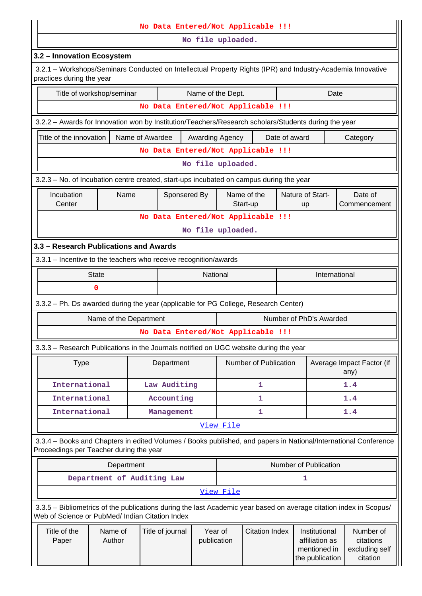|                                                                                                                                          |                            |                 | No Data Entered/Not Applicable !!! |                        |           |                       |                  |                                                                    |                                                                                                                    |  |  |
|------------------------------------------------------------------------------------------------------------------------------------------|----------------------------|-----------------|------------------------------------|------------------------|-----------|-----------------------|------------------|--------------------------------------------------------------------|--------------------------------------------------------------------------------------------------------------------|--|--|
|                                                                                                                                          |                            |                 |                                    | No file uploaded.      |           |                       |                  |                                                                    |                                                                                                                    |  |  |
| 3.2 - Innovation Ecosystem                                                                                                               |                            |                 |                                    |                        |           |                       |                  |                                                                    |                                                                                                                    |  |  |
| 3.2.1 - Workshops/Seminars Conducted on Intellectual Property Rights (IPR) and Industry-Academia Innovative<br>practices during the year |                            |                 |                                    |                        |           |                       |                  |                                                                    |                                                                                                                    |  |  |
|                                                                                                                                          | Title of workshop/seminar  |                 |                                    | Name of the Dept.      |           |                       |                  | Date                                                               |                                                                                                                    |  |  |
|                                                                                                                                          |                            |                 | No Data Entered/Not Applicable !!! |                        |           |                       |                  |                                                                    |                                                                                                                    |  |  |
| 3.2.2 - Awards for Innovation won by Institution/Teachers/Research scholars/Students during the year                                     |                            |                 |                                    |                        |           |                       |                  |                                                                    |                                                                                                                    |  |  |
| Title of the innovation                                                                                                                  |                            | Name of Awardee |                                    | Awarding Agency        |           |                       | Date of award    |                                                                    | Category                                                                                                           |  |  |
|                                                                                                                                          |                            |                 | No Data Entered/Not Applicable !!! |                        |           |                       |                  |                                                                    |                                                                                                                    |  |  |
|                                                                                                                                          |                            |                 |                                    | No file uploaded.      |           |                       |                  |                                                                    |                                                                                                                    |  |  |
| 3.2.3 – No. of Incubation centre created, start-ups incubated on campus during the year                                                  |                            |                 |                                    |                        |           |                       |                  |                                                                    |                                                                                                                    |  |  |
| Incubation<br>Name                                                                                                                       |                            |                 | Name of the<br>Sponsered By        |                        |           |                       | Nature of Start- | Date of                                                            |                                                                                                                    |  |  |
| Center                                                                                                                                   |                            |                 | No Data Entered/Not Applicable !!! |                        |           | Start-up              |                  | up                                                                 | Commencement                                                                                                       |  |  |
|                                                                                                                                          |                            |                 |                                    |                        |           |                       |                  |                                                                    |                                                                                                                    |  |  |
| No file uploaded.                                                                                                                        |                            |                 |                                    |                        |           |                       |                  |                                                                    |                                                                                                                    |  |  |
| 3.3 - Research Publications and Awards<br>3.3.1 - Incentive to the teachers who receive recognition/awards                               |                            |                 |                                    |                        |           |                       |                  |                                                                    |                                                                                                                    |  |  |
|                                                                                                                                          | <b>State</b>               |                 |                                    | National               |           |                       |                  | International                                                      |                                                                                                                    |  |  |
|                                                                                                                                          | 0                          |                 |                                    |                        |           |                       |                  |                                                                    |                                                                                                                    |  |  |
| 3.3.2 - Ph. Ds awarded during the year (applicable for PG College, Research Center)                                                      |                            |                 |                                    |                        |           |                       |                  |                                                                    |                                                                                                                    |  |  |
|                                                                                                                                          | Name of the Department     |                 |                                    |                        |           |                       |                  | Number of PhD's Awarded                                            |                                                                                                                    |  |  |
|                                                                                                                                          |                            |                 | No Data Entered/Not Applicable !!! |                        |           |                       |                  |                                                                    |                                                                                                                    |  |  |
| 3.3.3 - Research Publications in the Journals notified on UGC website during the year                                                    |                            |                 |                                    |                        |           |                       |                  |                                                                    |                                                                                                                    |  |  |
| <b>Type</b>                                                                                                                              |                            |                 | Department                         |                        |           | Number of Publication |                  |                                                                    | Average Impact Factor (if<br>any)                                                                                  |  |  |
| International                                                                                                                            |                            |                 | Law Auditing                       |                        | 1         |                       |                  |                                                                    | 1.4                                                                                                                |  |  |
| International                                                                                                                            |                            |                 | Accounting                         |                        |           | 1                     |                  |                                                                    | 1.4                                                                                                                |  |  |
| International                                                                                                                            |                            |                 | Management                         |                        |           | 1                     |                  |                                                                    | 1.4                                                                                                                |  |  |
|                                                                                                                                          |                            |                 |                                    |                        | View File |                       |                  |                                                                    |                                                                                                                    |  |  |
| Proceedings per Teacher during the year                                                                                                  |                            |                 |                                    |                        |           |                       |                  |                                                                    | 3.3.4 - Books and Chapters in edited Volumes / Books published, and papers in National/International Conference    |  |  |
|                                                                                                                                          | Department                 |                 |                                    |                        |           |                       |                  | Number of Publication                                              |                                                                                                                    |  |  |
|                                                                                                                                          | Department of Auditing Law |                 |                                    |                        |           |                       |                  | 1                                                                  |                                                                                                                    |  |  |
|                                                                                                                                          |                            |                 |                                    |                        | View File |                       |                  |                                                                    |                                                                                                                    |  |  |
| Web of Science or PubMed/ Indian Citation Index                                                                                          |                            |                 |                                    |                        |           |                       |                  |                                                                    | 3.3.5 - Bibliometrics of the publications during the last Academic year based on average citation index in Scopus/ |  |  |
| Title of the<br>Paper                                                                                                                    | Name of<br>Author          |                 | Title of journal                   | Year of<br>publication |           | <b>Citation Index</b> |                  | Institutional<br>affiliation as<br>mentioned in<br>the publication | Number of<br>citations<br>excluding self<br>citation                                                               |  |  |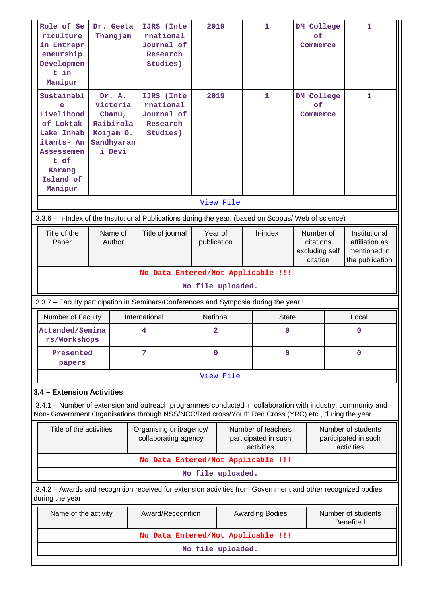| Role of Se<br>riculture<br>in Entrepr<br>eneurship<br>Developmen<br>t in<br>Manipur                                                                                                                                | Dr. Geeta<br>Thangjam                                                          | IJRS (Inte<br>rnational<br>Journal of<br>Research<br>Studies) | 2019                               | $\mathbf{1}$                                             | DM College<br>of<br>Commerce                         |             | 1                                                                  |  |  |  |
|--------------------------------------------------------------------------------------------------------------------------------------------------------------------------------------------------------------------|--------------------------------------------------------------------------------|---------------------------------------------------------------|------------------------------------|----------------------------------------------------------|------------------------------------------------------|-------------|--------------------------------------------------------------------|--|--|--|
| Sustainabl<br>e<br>Livelihood<br>of Loktak<br>Lake Inhab<br>itants- An<br>Assessemen<br>t of<br>Karang<br>Island of<br>Manipur                                                                                     | Dr. A.<br>Victoria<br>Chanu,<br>Raibirola<br>Koijam O.<br>Sandhyaran<br>i Devi |                                                               | 2019                               | 1                                                        | DM College<br>of<br>Commerce                         |             | 1                                                                  |  |  |  |
|                                                                                                                                                                                                                    |                                                                                |                                                               | View File                          |                                                          |                                                      |             |                                                                    |  |  |  |
| 3.3.6 - h-Index of the Institutional Publications during the year. (based on Scopus/ Web of science)                                                                                                               |                                                                                |                                                               |                                    |                                                          |                                                      |             |                                                                    |  |  |  |
| Title of the<br>Paper                                                                                                                                                                                              | Name of<br>Author                                                              | Title of journal                                              | Year of<br>publication             | h-index                                                  | Number of<br>citations<br>excluding self<br>citation |             | Institutional<br>affiliation as<br>mentioned in<br>the publication |  |  |  |
|                                                                                                                                                                                                                    |                                                                                |                                                               | No Data Entered/Not Applicable !!! |                                                          |                                                      |             |                                                                    |  |  |  |
|                                                                                                                                                                                                                    |                                                                                |                                                               | No file uploaded.                  |                                                          |                                                      |             |                                                                    |  |  |  |
| 3.3.7 - Faculty participation in Seminars/Conferences and Symposia during the year:                                                                                                                                |                                                                                |                                                               |                                    |                                                          |                                                      |             |                                                                    |  |  |  |
| Number of Faculty                                                                                                                                                                                                  |                                                                                | International                                                 | <b>National</b>                    | <b>State</b>                                             |                                                      |             | Local                                                              |  |  |  |
| Attended/Semina<br>rs/Workshops                                                                                                                                                                                    |                                                                                | 4                                                             | 2                                  | 0                                                        |                                                      |             | 0                                                                  |  |  |  |
| Presented<br>papers                                                                                                                                                                                                |                                                                                | 7                                                             | $\mathbf 0$                        | 0                                                        |                                                      | $\mathbf 0$ |                                                                    |  |  |  |
|                                                                                                                                                                                                                    |                                                                                |                                                               | View File                          |                                                          |                                                      |             |                                                                    |  |  |  |
| 3.4 - Extension Activities                                                                                                                                                                                         |                                                                                |                                                               |                                    |                                                          |                                                      |             |                                                                    |  |  |  |
| 3.4.1 – Number of extension and outreach programmes conducted in collaboration with industry, community and<br>Non- Government Organisations through NSS/NCC/Red cross/Youth Red Cross (YRC) etc., during the year |                                                                                |                                                               |                                    |                                                          |                                                      |             |                                                                    |  |  |  |
| Title of the activities                                                                                                                                                                                            |                                                                                | Organising unit/agency/<br>collaborating agency               |                                    | Number of teachers<br>participated in such<br>activities |                                                      |             | Number of students<br>participated in such<br>activities           |  |  |  |
|                                                                                                                                                                                                                    |                                                                                |                                                               | No Data Entered/Not Applicable !!! |                                                          |                                                      |             |                                                                    |  |  |  |
|                                                                                                                                                                                                                    |                                                                                |                                                               | No file uploaded.                  |                                                          |                                                      |             |                                                                    |  |  |  |
| 3.4.2 - Awards and recognition received for extension activities from Government and other recognized bodies<br>during the year                                                                                    |                                                                                |                                                               |                                    |                                                          |                                                      |             |                                                                    |  |  |  |
| Name of the activity                                                                                                                                                                                               |                                                                                | Award/Recognition                                             |                                    | <b>Awarding Bodies</b>                                   | Number of students<br><b>Benefited</b>               |             |                                                                    |  |  |  |
|                                                                                                                                                                                                                    |                                                                                |                                                               | No Data Entered/Not Applicable !!! |                                                          |                                                      |             |                                                                    |  |  |  |
|                                                                                                                                                                                                                    |                                                                                |                                                               | No file uploaded.                  |                                                          |                                                      |             |                                                                    |  |  |  |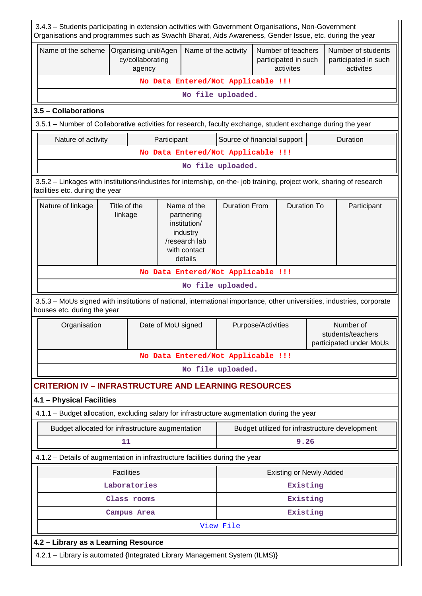| 3.4.3 - Students participating in extension activities with Government Organisations, Non-Government<br>Organisations and programmes such as Swachh Bharat, Aids Awareness, Gender Issue, etc. during the year |                         |                                                    |                    |                      |                                    |                    |                                                         |  |                                                           |  |  |
|----------------------------------------------------------------------------------------------------------------------------------------------------------------------------------------------------------------|-------------------------|----------------------------------------------------|--------------------|----------------------|------------------------------------|--------------------|---------------------------------------------------------|--|-----------------------------------------------------------|--|--|
| Name of the scheme                                                                                                                                                                                             |                         | Organising unit/Agen<br>cy/collaborating<br>agency |                    | Name of the activity |                                    |                    | Number of teachers<br>participated in such<br>activites |  | Number of students<br>participated in such<br>activites   |  |  |
|                                                                                                                                                                                                                |                         |                                                    |                    |                      | No Data Entered/Not Applicable !!! |                    |                                                         |  |                                                           |  |  |
|                                                                                                                                                                                                                |                         |                                                    |                    |                      | No file uploaded.                  |                    |                                                         |  |                                                           |  |  |
| 3.5 - Collaborations                                                                                                                                                                                           |                         |                                                    |                    |                      |                                    |                    |                                                         |  |                                                           |  |  |
| 3.5.1 – Number of Collaborative activities for research, faculty exchange, student exchange during the year                                                                                                    |                         |                                                    |                    |                      |                                    |                    |                                                         |  |                                                           |  |  |
| Nature of activity                                                                                                                                                                                             |                         |                                                    | Participant        |                      | Source of financial support        |                    |                                                         |  | Duration                                                  |  |  |
|                                                                                                                                                                                                                |                         |                                                    |                    |                      | No Data Entered/Not Applicable !!! |                    |                                                         |  |                                                           |  |  |
|                                                                                                                                                                                                                |                         |                                                    |                    |                      | No file uploaded.                  |                    |                                                         |  |                                                           |  |  |
| 3.5.2 - Linkages with institutions/industries for internship, on-the- job training, project work, sharing of research<br>facilities etc. during the year                                                       |                         |                                                    |                    |                      |                                    |                    |                                                         |  |                                                           |  |  |
| Title of the<br><b>Duration From</b><br><b>Duration To</b><br>Nature of linkage<br>Name of the<br>Participant<br>linkage<br>partnering<br>institution/<br>industry<br>/research lab<br>with contact<br>details |                         |                                                    |                    |                      |                                    |                    |                                                         |  |                                                           |  |  |
| No Data Entered/Not Applicable !!!                                                                                                                                                                             |                         |                                                    |                    |                      |                                    |                    |                                                         |  |                                                           |  |  |
| No file uploaded.                                                                                                                                                                                              |                         |                                                    |                    |                      |                                    |                    |                                                         |  |                                                           |  |  |
| 3.5.3 - MoUs signed with institutions of national, international importance, other universities, industries, corporate<br>houses etc. during the year                                                          |                         |                                                    |                    |                      |                                    |                    |                                                         |  |                                                           |  |  |
| Organisation                                                                                                                                                                                                   |                         |                                                    | Date of MoU signed |                      |                                    | Purpose/Activities |                                                         |  | Number of<br>students/teachers<br>participated under MoUs |  |  |
|                                                                                                                                                                                                                |                         |                                                    |                    |                      | No Data Entered/Not Applicable !!! |                    |                                                         |  |                                                           |  |  |
|                                                                                                                                                                                                                |                         |                                                    |                    |                      | No file uploaded.                  |                    |                                                         |  |                                                           |  |  |
| <b>CRITERION IV - INFRASTRUCTURE AND LEARNING RESOURCES</b>                                                                                                                                                    |                         |                                                    |                    |                      |                                    |                    |                                                         |  |                                                           |  |  |
| 4.1 - Physical Facilities                                                                                                                                                                                      |                         |                                                    |                    |                      |                                    |                    |                                                         |  |                                                           |  |  |
| 4.1.1 - Budget allocation, excluding salary for infrastructure augmentation during the year                                                                                                                    |                         |                                                    |                    |                      |                                    |                    |                                                         |  |                                                           |  |  |
| Budget allocated for infrastructure augmentation                                                                                                                                                               |                         |                                                    |                    |                      |                                    |                    |                                                         |  | Budget utilized for infrastructure development            |  |  |
|                                                                                                                                                                                                                | 11                      |                                                    |                    |                      |                                    |                    | 9.26                                                    |  |                                                           |  |  |
| 4.1.2 - Details of augmentation in infrastructure facilities during the year                                                                                                                                   |                         |                                                    |                    |                      |                                    |                    |                                                         |  |                                                           |  |  |
|                                                                                                                                                                                                                | <b>Facilities</b>       |                                                    |                    |                      |                                    |                    | <b>Existing or Newly Added</b>                          |  |                                                           |  |  |
|                                                                                                                                                                                                                |                         | Laboratories                                       |                    |                      |                                    |                    | Existing                                                |  |                                                           |  |  |
|                                                                                                                                                                                                                | Existing<br>Class rooms |                                                    |                    |                      |                                    |                    |                                                         |  |                                                           |  |  |
|                                                                                                                                                                                                                | Existing<br>Campus Area |                                                    |                    |                      |                                    |                    |                                                         |  |                                                           |  |  |
|                                                                                                                                                                                                                |                         |                                                    |                    |                      | View File                          |                    |                                                         |  |                                                           |  |  |
| 4.2 - Library as a Learning Resource                                                                                                                                                                           |                         |                                                    |                    |                      |                                    |                    |                                                         |  |                                                           |  |  |
| 4.2.1 - Library is automated {Integrated Library Management System (ILMS)}                                                                                                                                     |                         |                                                    |                    |                      |                                    |                    |                                                         |  |                                                           |  |  |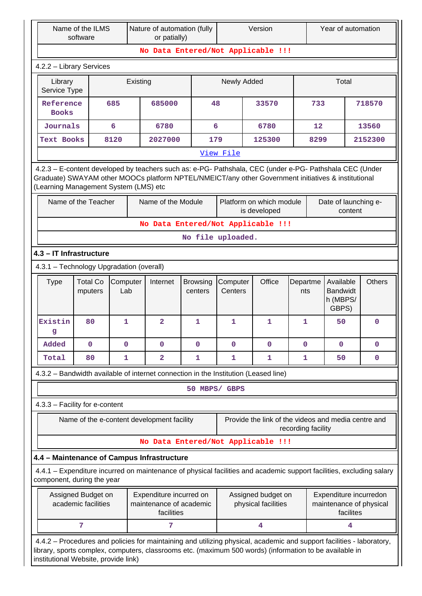|                                                                                                                                                                                                                                                         | Name of the ILMS<br>software |              |          | Nature of automation (fully<br>or patially) |                                    |           |                      | Version                                             |                    |                   | Year of automation |                                                                                                                       |
|---------------------------------------------------------------------------------------------------------------------------------------------------------------------------------------------------------------------------------------------------------|------------------------------|--------------|----------|---------------------------------------------|------------------------------------|-----------|----------------------|-----------------------------------------------------|--------------------|-------------------|--------------------|-----------------------------------------------------------------------------------------------------------------------|
|                                                                                                                                                                                                                                                         |                              |              |          |                                             | No Data Entered/Not Applicable !!! |           |                      |                                                     |                    |                   |                    |                                                                                                                       |
| 4.2.2 - Library Services                                                                                                                                                                                                                                |                              |              |          |                                             |                                    |           |                      |                                                     |                    |                   |                    |                                                                                                                       |
| Library<br>Service Type                                                                                                                                                                                                                                 |                              |              | Existing |                                             |                                    |           | Newly Added<br>Total |                                                     |                    |                   |                    |                                                                                                                       |
| Reference<br><b>Books</b>                                                                                                                                                                                                                               |                              | 685          |          | 685000                                      | 48                                 |           |                      | 33570                                               |                    | 733               |                    | 718570                                                                                                                |
| Journals                                                                                                                                                                                                                                                |                              | 6            |          | 6780                                        |                                    | 6         |                      | 6780                                                |                    | $12 \overline{ }$ |                    | 13560                                                                                                                 |
| <b>Text Books</b>                                                                                                                                                                                                                                       |                              | 8120         |          | 2027000                                     | 179                                |           |                      | 125300                                              |                    | 8299              |                    | 2152300                                                                                                               |
|                                                                                                                                                                                                                                                         |                              |              |          |                                             |                                    | View File |                      |                                                     |                    |                   |                    |                                                                                                                       |
| 4.2.3 - E-content developed by teachers such as: e-PG- Pathshala, CEC (under e-PG- Pathshala CEC (Under<br>Graduate) SWAYAM other MOOCs platform NPTEL/NMEICT/any other Government initiatives & institutional<br>(Learning Management System (LMS) etc |                              |              |          |                                             |                                    |           |                      |                                                     |                    |                   |                    |                                                                                                                       |
| Name of the Module<br>Name of the Teacher<br>Platform on which module<br>Date of launching e-<br>is developed<br>content                                                                                                                                |                              |              |          |                                             |                                    |           |                      |                                                     |                    |                   |                    |                                                                                                                       |
| No Data Entered/Not Applicable !!!                                                                                                                                                                                                                      |                              |              |          |                                             |                                    |           |                      |                                                     |                    |                   |                    |                                                                                                                       |
| No file uploaded.                                                                                                                                                                                                                                       |                              |              |          |                                             |                                    |           |                      |                                                     |                    |                   |                    |                                                                                                                       |
| 4.3 - IT Infrastructure                                                                                                                                                                                                                                 |                              |              |          |                                             |                                    |           |                      |                                                     |                    |                   |                    |                                                                                                                       |
| 4.3.1 - Technology Upgradation (overall)                                                                                                                                                                                                                |                              |              |          |                                             |                                    |           |                      |                                                     |                    |                   |                    |                                                                                                                       |
| <b>Total Co</b><br>Office<br><b>Type</b><br>Computer<br>Internet<br>Computer<br>Departme<br><b>Browsing</b><br>Available<br><b>Bandwidt</b><br>Lab<br>Centers<br>mputers<br>centers<br>nts<br>h (MBPS/<br>GBPS)                                         |                              |              |          |                                             |                                    |           |                      | <b>Others</b>                                       |                    |                   |                    |                                                                                                                       |
| Existin<br>g                                                                                                                                                                                                                                            | 80                           | $\mathbf{1}$ |          | $\overline{2}$                              | 1                                  | 1         |                      | 1                                                   | 1                  |                   | 50                 | 0                                                                                                                     |
| Added                                                                                                                                                                                                                                                   | $\mathbf 0$                  | $\mathbf 0$  |          | $\mathbf 0$                                 | 0                                  | 0         |                      | $\mathbf 0$                                         | $\mathbf 0$        |                   | 0                  | $\mathbf 0$                                                                                                           |
| Total                                                                                                                                                                                                                                                   | 80                           | 1            |          | $\overline{2}$                              | 1                                  | 1         |                      | 1                                                   | 1                  |                   | 50                 | 0                                                                                                                     |
| 4.3.2 - Bandwidth available of internet connection in the Institution (Leased line)                                                                                                                                                                     |                              |              |          |                                             |                                    |           |                      |                                                     |                    |                   |                    |                                                                                                                       |
|                                                                                                                                                                                                                                                         |                              |              |          |                                             | 50 MBPS/ GBPS                      |           |                      |                                                     |                    |                   |                    |                                                                                                                       |
| 4.3.3 - Facility for e-content                                                                                                                                                                                                                          |                              |              |          |                                             |                                    |           |                      |                                                     |                    |                   |                    |                                                                                                                       |
|                                                                                                                                                                                                                                                         |                              |              |          | Name of the e-content development facility  |                                    |           |                      | Provide the link of the videos and media centre and | recording facility |                   |                    |                                                                                                                       |
|                                                                                                                                                                                                                                                         |                              |              |          |                                             | No Data Entered/Not Applicable !!! |           |                      |                                                     |                    |                   |                    |                                                                                                                       |
| 4.4 - Maintenance of Campus Infrastructure                                                                                                                                                                                                              |                              |              |          |                                             |                                    |           |                      |                                                     |                    |                   |                    |                                                                                                                       |
| component, during the year                                                                                                                                                                                                                              |                              |              |          |                                             |                                    |           |                      |                                                     |                    |                   |                    | 4.4.1 – Expenditure incurred on maintenance of physical facilities and academic support facilities, excluding salary  |
| Assigned Budget on<br>Expenditure incurred on<br>Assigned budget on<br>Expenditure incurredon<br>academic facilities<br>maintenance of academic<br>physical facilities<br>maintenance of physical<br>facilities<br>facilites                            |                              |              |          |                                             |                                    |           |                      |                                                     |                    |                   |                    |                                                                                                                       |
|                                                                                                                                                                                                                                                         | 7                            |              |          | 7                                           |                                    |           |                      | 4                                                   |                    |                   | 4                  |                                                                                                                       |
| library, sports complex, computers, classrooms etc. (maximum 500 words) (information to be available in<br>institutional Website, provide link)                                                                                                         |                              |              |          |                                             |                                    |           |                      |                                                     |                    |                   |                    | 4.4.2 - Procedures and policies for maintaining and utilizing physical, academic and support facilities - laboratory, |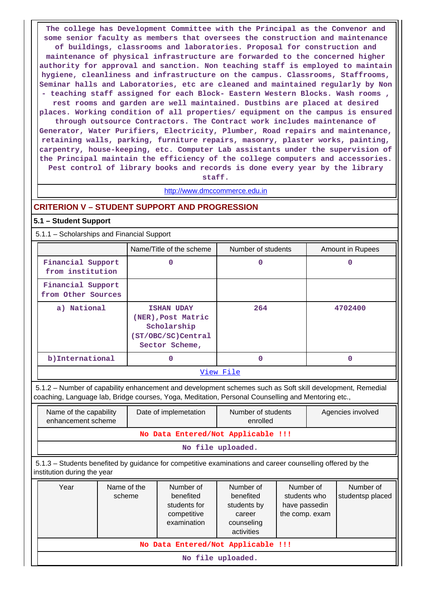**The college has Development Committee with the Principal as the Convenor and some senior faculty as members that oversees the construction and maintenance of buildings, classrooms and laboratories. Proposal for construction and maintenance of physical infrastructure are forwarded to the concerned higher authority for approval and sanction. Non teaching staff is employed to maintain hygiene, cleanliness and infrastructure on the campus. Classrooms, Staffrooms, Seminar halls and Laboratories, etc are cleaned and maintained regularly by Non - teaching staff assigned for each Block- Eastern Western Blocks. Wash rooms , rest rooms and garden are well maintained. Dustbins are placed at desired places. Working condition of all properties/ equipment on the campus is ensured through outsource Contractors. The Contract work includes maintenance of Generator, Water Purifiers, Electricity, Plumber, Road repairs and maintenance, retaining walls, parking, furniture repairs, masonry, plaster works, painting, carpentry, house-keeping, etc. Computer Lab assistants under the supervision of the Principal maintain the efficiency of the college computers and accessories. Pest control of library books and records is done every year by the library**

**staff.**

#### <http://www.dmccommerce.edu.in>

### **CRITERION V – STUDENT SUPPORT AND PROGRESSION**

#### **5.1 – Student Support**

#### 5.1.1 – Scholarships and Financial Support

|                                         | Name/Title of the scheme                                                                       | Number of students | Amount in Rupees |
|-----------------------------------------|------------------------------------------------------------------------------------------------|--------------------|------------------|
| Financial Support<br>from institution   | 0                                                                                              | 0                  |                  |
| Financial Support<br>from Other Sources |                                                                                                |                    |                  |
| a) National                             | <b>ISHAN UDAY</b><br>(NER), Post Matric<br>Scholarship<br>(ST/OBC/SC)Central<br>Sector Scheme, | 264                | 4702400          |
| b) International                        | 0                                                                                              | 0                  | 0                |
|                                         |                                                                                                | View File          |                  |

 5.1.2 – Number of capability enhancement and development schemes such as Soft skill development, Remedial coaching, Language lab, Bridge courses, Yoga, Meditation, Personal Counselling and Mentoring etc.,

| Name of the capability<br>enhancement scheme                                                                                             |  |  | Date of implemetation                                                | Number of students<br>enrolled                                              |                                                              |  | Agencies involved             |  |  |  |  |
|------------------------------------------------------------------------------------------------------------------------------------------|--|--|----------------------------------------------------------------------|-----------------------------------------------------------------------------|--------------------------------------------------------------|--|-------------------------------|--|--|--|--|
| No Data Entered/Not Applicable !!!                                                                                                       |  |  |                                                                      |                                                                             |                                                              |  |                               |  |  |  |  |
| No file uploaded.                                                                                                                        |  |  |                                                                      |                                                                             |                                                              |  |                               |  |  |  |  |
| 5.1.3 – Students benefited by guidance for competitive examinations and career counselling offered by the<br>institution during the year |  |  |                                                                      |                                                                             |                                                              |  |                               |  |  |  |  |
| Name of the<br>Year<br>scheme                                                                                                            |  |  | Number of<br>benefited<br>students for<br>competitive<br>examination | Number of<br>benefited<br>students by<br>career<br>counseling<br>activities | Number of<br>students who<br>have passedin<br>the comp. exam |  | Number of<br>studentsp placed |  |  |  |  |
|                                                                                                                                          |  |  |                                                                      | No Data Entered/Not Applicable !!!                                          |                                                              |  |                               |  |  |  |  |

**No file uploaded.**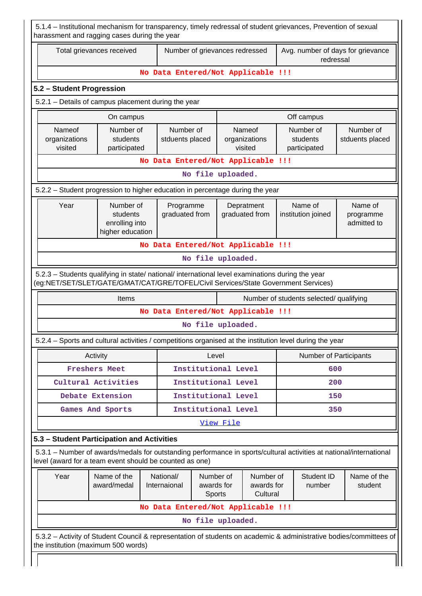|                                                                                                  | Total grievances received                                   |                                    |                                   | Number of grievances redressed |                                                                                        | Avg. number of days for grievance<br>redressal                                                                                |                                     |  |  |  |  |
|--------------------------------------------------------------------------------------------------|-------------------------------------------------------------|------------------------------------|-----------------------------------|--------------------------------|----------------------------------------------------------------------------------------|-------------------------------------------------------------------------------------------------------------------------------|-------------------------------------|--|--|--|--|
|                                                                                                  |                                                             | No Data Entered/Not Applicable !!! |                                   |                                |                                                                                        |                                                                                                                               |                                     |  |  |  |  |
| 5.2 - Student Progression                                                                        |                                                             |                                    |                                   |                                |                                                                                        |                                                                                                                               |                                     |  |  |  |  |
| 5.2.1 - Details of campus placement during the year                                              |                                                             |                                    |                                   |                                |                                                                                        |                                                                                                                               |                                     |  |  |  |  |
|                                                                                                  | On campus                                                   |                                    |                                   |                                |                                                                                        |                                                                                                                               |                                     |  |  |  |  |
| Nameof<br>organizations<br>visited                                                               | Number of<br>students<br>participated                       | Number of<br>stduents placed       |                                   | Nameof<br>visited              | Number of<br>Number of<br>organizations<br>students<br>stduents placed<br>participated |                                                                                                                               |                                     |  |  |  |  |
|                                                                                                  |                                                             | No Data Entered/Not Applicable !!! |                                   |                                |                                                                                        |                                                                                                                               |                                     |  |  |  |  |
| No file uploaded.                                                                                |                                                             |                                    |                                   |                                |                                                                                        |                                                                                                                               |                                     |  |  |  |  |
| 5.2.2 – Student progression to higher education in percentage during the year                    |                                                             |                                    |                                   |                                |                                                                                        |                                                                                                                               |                                     |  |  |  |  |
| Year                                                                                             | Number of<br>students<br>enrolling into<br>higher education | Programme<br>graduated from        |                                   | Depratment<br>graduated from   |                                                                                        | Name of<br>institution joined                                                                                                 | Name of<br>programme<br>admitted to |  |  |  |  |
|                                                                                                  |                                                             | No Data Entered/Not Applicable !!! |                                   |                                |                                                                                        |                                                                                                                               |                                     |  |  |  |  |
|                                                                                                  |                                                             |                                    |                                   | No file uploaded.              |                                                                                        |                                                                                                                               |                                     |  |  |  |  |
| 5.2.3 - Students qualifying in state/ national/ international level examinations during the year | Items                                                       |                                    |                                   |                                |                                                                                        | (eg:NET/SET/SLET/GATE/GMAT/CAT/GRE/TOFEL/Civil Services/State Government Services)<br>Number of students selected/ qualifying |                                     |  |  |  |  |
|                                                                                                  |                                                             |                                    |                                   |                                |                                                                                        |                                                                                                                               |                                     |  |  |  |  |
| No Data Entered/Not Applicable !!!                                                               |                                                             |                                    |                                   |                                |                                                                                        |                                                                                                                               |                                     |  |  |  |  |
|                                                                                                  |                                                             |                                    |                                   | No file uploaded.              |                                                                                        |                                                                                                                               |                                     |  |  |  |  |
|                                                                                                  |                                                             |                                    |                                   |                                |                                                                                        | 5.2.4 - Sports and cultural activities / competitions organised at the institution level during the year                      |                                     |  |  |  |  |
|                                                                                                  | Activity                                                    |                                    | Level                             |                                |                                                                                        | <b>Number of Participants</b>                                                                                                 |                                     |  |  |  |  |
|                                                                                                  | <b>Freshers Meet</b>                                        |                                    |                                   | Institutional Level            |                                                                                        | 600                                                                                                                           |                                     |  |  |  |  |
|                                                                                                  | Cultural Activities                                         |                                    |                                   | Institutional Level            |                                                                                        | 200                                                                                                                           |                                     |  |  |  |  |
|                                                                                                  | Debate Extension                                            |                                    |                                   | Institutional Level            |                                                                                        | 150                                                                                                                           |                                     |  |  |  |  |
|                                                                                                  | Games And Sports                                            |                                    |                                   | Institutional Level            |                                                                                        | 350                                                                                                                           |                                     |  |  |  |  |
|                                                                                                  |                                                             |                                    | View File                         |                                |                                                                                        |                                                                                                                               |                                     |  |  |  |  |
| 5.3 - Student Participation and Activities                                                       |                                                             |                                    |                                   |                                |                                                                                        |                                                                                                                               |                                     |  |  |  |  |
| level (award for a team event should be counted as one)                                          |                                                             |                                    |                                   |                                |                                                                                        | 5.3.1 – Number of awards/medals for outstanding performance in sports/cultural activities at national/international           |                                     |  |  |  |  |
| Year                                                                                             | Name of the<br>award/medal                                  | National/<br>Internaional          | Number of<br>awards for<br>Sports |                                | Number of<br>awards for<br>Cultural                                                    | Student ID<br>number                                                                                                          | student                             |  |  |  |  |
|                                                                                                  |                                                             | No Data Entered/Not Applicable !!! |                                   |                                |                                                                                        |                                                                                                                               |                                     |  |  |  |  |
|                                                                                                  |                                                             |                                    |                                   | No file uploaded.              |                                                                                        |                                                                                                                               | Name of the                         |  |  |  |  |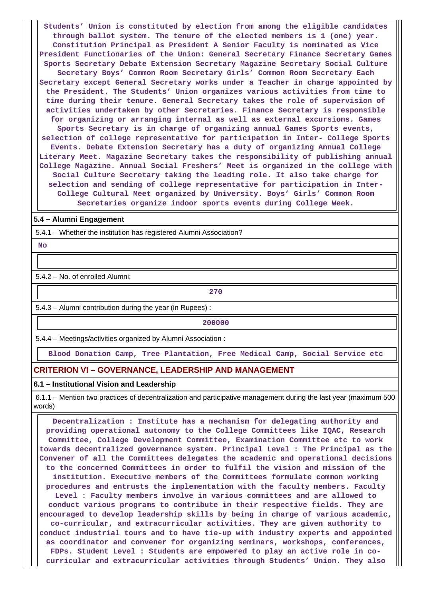**Students' Union is constituted by election from among the eligible candidates through ballot system. The tenure of the elected members is 1 (one) year. Constitution Principal as President A Senior Faculty is nominated as Vice President Functionaries of the Union: General Secretary Finance Secretary Games Sports Secretary Debate Extension Secretary Magazine Secretary Social Culture Secretary Boys' Common Room Secretary Girls' Common Room Secretary Each Secretary except General Secretary works under a Teacher in charge appointed by the President. The Students' Union organizes various activities from time to time during their tenure. General Secretary takes the role of supervision of activities undertaken by other Secretaries. Finance Secretary is responsible for organizing or arranging internal as well as external excursions. Games Sports Secretary is in charge of organizing annual Games Sports events, selection of college representative for participation in Inter- College Sports Events. Debate Extension Secretary has a duty of organizing Annual College Literary Meet. Magazine Secretary takes the responsibility of publishing annual College Magazine. Annual Social Freshers' Meet is organized in the college with Social Culture Secretary taking the leading role. It also take charge for selection and sending of college representative for participation in Inter-College Cultural Meet organized by University. Boys' Girls' Common Room Secretaries organize indoor sports events during College Week.**

#### **5.4 – Alumni Engagement**

5.4.1 – Whether the institution has registered Alumni Association?

 **No**

5.4.2 – No. of enrolled Alumni:

**270**

5.4.3 – Alumni contribution during the year (in Rupees) :

**200000** 

5.4.4 – Meetings/activities organized by Alumni Association :

**Blood Donation Camp, Tree Plantation, Free Medical Camp, Social Service etc**

# **CRITERION VI – GOVERNANCE, LEADERSHIP AND MANAGEMENT**

#### **6.1 – Institutional Vision and Leadership**

 6.1.1 – Mention two practices of decentralization and participative management during the last year (maximum 500 words)

 **Decentralization : Institute has a mechanism for delegating authority and providing operational autonomy to the College Committees like IQAC, Research Committee, College Development Committee, Examination Committee etc to work towards decentralized governance system. Principal Level : The Principal as the Convener of all the Committees delegates the academic and operational decisions to the concerned Committees in order to fulfil the vision and mission of the institution. Executive members of the Committees formulate common working procedures and entrusts the implementation with the faculty members. Faculty Level : Faculty members involve in various committees and are allowed to conduct various programs to contribute in their respective fields. They are encouraged to develop leadership skills by being in charge of various academic, co-curricular, and extracurricular activities. They are given authority to conduct industrial tours and to have tie-up with industry experts and appointed as coordinator and convener for organizing seminars, workshops, conferences, FDPs. Student Level : Students are empowered to play an active role in cocurricular and extracurricular activities through Students' Union. They also**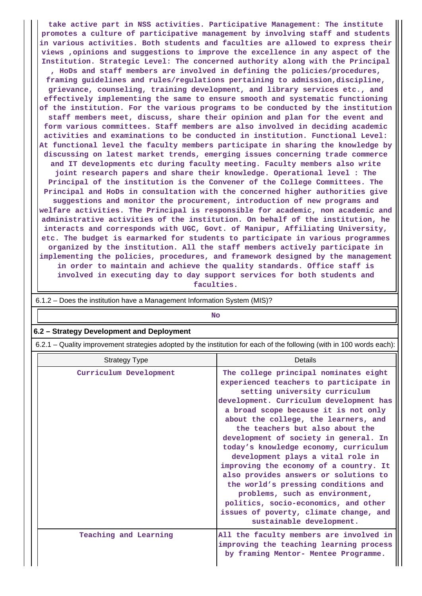**take active part in NSS activities. Participative Management: The institute promotes a culture of participative management by involving staff and students in various activities. Both students and faculties are allowed to express their views ,opinions and suggestions to improve the excellence in any aspect of the Institution. Strategic Level: The concerned authority along with the Principal**

**, HoDs and staff members are involved in defining the policies/procedures, framing guidelines and rules/regulations pertaining to admission,discipline, grievance, counseling, training development, and library services etc., and effectively implementing the same to ensure smooth and systematic functioning of the institution. For the various programs to be conducted by the institution staff members meet, discuss, share their opinion and plan for the event and form various committees. Staff members are also involved in deciding academic activities and examinations to be conducted in institution. Functional Level: At functional level the faculty members participate in sharing the knowledge by discussing on latest market trends, emerging issues concerning trade commerce and IT developments etc during faculty meeting. Faculty members also write joint research papers and share their knowledge. Operational level : The Principal of the institution is the Convener of the College Committees. The Principal and HoDs in consultation with the concerned higher authorities give suggestions and monitor the procurement, introduction of new programs and welfare activities. The Principal is responsible for academic, non academic and administrative activities of the institution. On behalf of the institution, he interacts and corresponds with UGC, Govt. of Manipur, Affiliating University, etc. The budget is earmarked for students to participate in various programmes organized by the institution. All the staff members actively participate in implementing the policies, procedures, and framework designed by the management in order to maintain and achieve the quality standards. Office staff is involved in executing day to day support services for both students and**

**faculties.**

| $0.1.2 - \text{D}$ or the institution nave a management implification system (mis)? |                                                                                                                                                                                                                                                                                                                                                                                                                                                                                                                                                                                                                                                                                 |  |  |  |  |  |
|-------------------------------------------------------------------------------------|---------------------------------------------------------------------------------------------------------------------------------------------------------------------------------------------------------------------------------------------------------------------------------------------------------------------------------------------------------------------------------------------------------------------------------------------------------------------------------------------------------------------------------------------------------------------------------------------------------------------------------------------------------------------------------|--|--|--|--|--|
|                                                                                     | <b>No</b>                                                                                                                                                                                                                                                                                                                                                                                                                                                                                                                                                                                                                                                                       |  |  |  |  |  |
| 6.2 - Strategy Development and Deployment                                           |                                                                                                                                                                                                                                                                                                                                                                                                                                                                                                                                                                                                                                                                                 |  |  |  |  |  |
|                                                                                     | 6.2.1 – Quality improvement strategies adopted by the institution for each of the following (with in 100 words each):                                                                                                                                                                                                                                                                                                                                                                                                                                                                                                                                                           |  |  |  |  |  |
| <b>Strategy Type</b>                                                                | Details                                                                                                                                                                                                                                                                                                                                                                                                                                                                                                                                                                                                                                                                         |  |  |  |  |  |
| Curriculum Development                                                              | The college principal nominates eight<br>experienced teachers to participate in<br>setting university curriculum<br>development. Curriculum development has<br>a broad scope because it is not only<br>about the college, the learners, and<br>the teachers but also about the<br>development of society in general. In<br>today's knowledge economy, curriculum<br>development plays a vital role in<br>improving the economy of a country. It<br>also provides answers or solutions to<br>the world's pressing conditions and<br>problems, such as environment,<br>politics, socio-economics, and other<br>issues of poverty, climate change, and<br>sustainable development. |  |  |  |  |  |
| Teaching and Learning                                                               | All the faculty members are involved in<br>improving the teaching learning process<br>by framing Mentor- Mentee Programme.                                                                                                                                                                                                                                                                                                                                                                                                                                                                                                                                                      |  |  |  |  |  |

6.1.2 – Does the institution have a Management Information System (MIS)?

 $\mathbf{1}$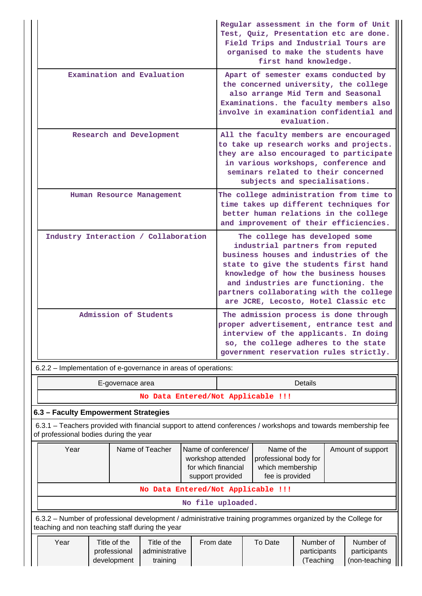|                                                                | Regular assessment in the form of Unit<br>Test, Quiz, Presentation etc are done.<br>Field Trips and Industrial Tours are<br>organised to make the students have<br>first hand knowledge.                                                                                                                               |
|----------------------------------------------------------------|------------------------------------------------------------------------------------------------------------------------------------------------------------------------------------------------------------------------------------------------------------------------------------------------------------------------|
| Examination and Evaluation                                     | Apart of semester exams conducted by<br>the concerned university, the college<br>also arrange Mid Term and Seasonal<br>Examinations. the faculty members also<br>involve in examination confidential and<br>evaluation.                                                                                                |
| Research and Development                                       | All the faculty members are encouraged<br>to take up research works and projects.<br>they are also encouraged to participate<br>in various workshops, conference and<br>seminars related to their concerned<br>subjects and specialisations.                                                                           |
| Human Resource Management                                      | The college administration from time to<br>time takes up different techniques for<br>better human relations in the college<br>and improvement of their efficiencies.                                                                                                                                                   |
| Industry Interaction / Collaboration                           | The college has developed some<br>industrial partners from reputed<br>business houses and industries of the<br>state to give the students first hand<br>knowledge of how the business houses<br>and industries are functioning. the<br>partners collaborating with the college<br>are JCRE, Lecosto, Hotel Classic etc |
| Admission of Students                                          | The admission process is done through<br>proper advertisement, entrance test and<br>interview of the applicants. In doing<br>so, the college adheres to the state<br>government reservation rules strictly.                                                                                                            |
| 6.2.2 - Implementation of e-governance in areas of operations: |                                                                                                                                                                                                                                                                                                                        |
| E-governace area                                               | <b>Details</b>                                                                                                                                                                                                                                                                                                         |
| No Data Entered/Not Applicable !!!                             |                                                                                                                                                                                                                                                                                                                        |
| 6.3 - Faculty Empowerment Strategies                           |                                                                                                                                                                                                                                                                                                                        |

 6.3.1 – Teachers provided with financial support to attend conferences / workshops and towards membership fee of professional bodies during the year

| Year                                                                                                                                                                                                              |  | Name of Teacher | Name of conference/<br>workshop attended<br>for which financial<br>support provided | Name of the<br>professional body for<br>which membership<br>fee is provided |  | Amount of support |  |  |  |  |
|-------------------------------------------------------------------------------------------------------------------------------------------------------------------------------------------------------------------|--|-----------------|-------------------------------------------------------------------------------------|-----------------------------------------------------------------------------|--|-------------------|--|--|--|--|
| No Data Entered/Not Applicable !!!                                                                                                                                                                                |  |                 |                                                                                     |                                                                             |  |                   |  |  |  |  |
| No file uploaded.                                                                                                                                                                                                 |  |                 |                                                                                     |                                                                             |  |                   |  |  |  |  |
| 6.3.2 – Number of professional development / administrative training programmes organized by the College for<br>teaching and non teaching staff during the year                                                   |  |                 |                                                                                     |                                                                             |  |                   |  |  |  |  |
| Year<br>Title of the<br>From date<br>Number of<br>Number of<br>Title of the<br>To Date<br>administrative<br>professional<br>participants<br>participants<br>(non-teaching<br>development<br>training<br>(Teaching |  |                 |                                                                                     |                                                                             |  |                   |  |  |  |  |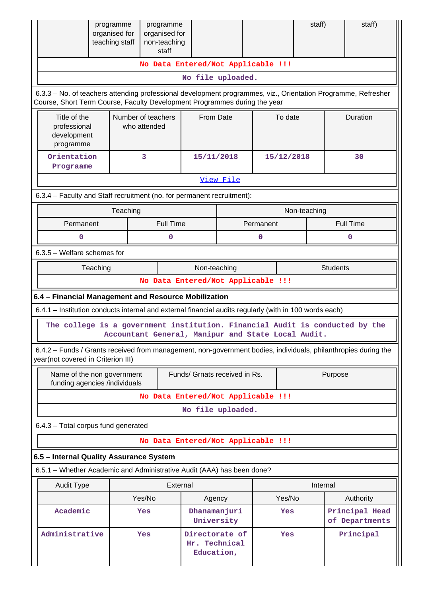|                                                                                                                                                                                            | programme<br>programme<br>organised for<br>organised for<br>teaching staff<br>non-teaching<br>staff |                  |                                               |                                    |           |              | staff)   | staff)                           |  |  |  |
|--------------------------------------------------------------------------------------------------------------------------------------------------------------------------------------------|-----------------------------------------------------------------------------------------------------|------------------|-----------------------------------------------|------------------------------------|-----------|--------------|----------|----------------------------------|--|--|--|
|                                                                                                                                                                                            |                                                                                                     |                  |                                               | No Data Entered/Not Applicable !!! |           |              |          |                                  |  |  |  |
|                                                                                                                                                                                            |                                                                                                     |                  |                                               | No file uploaded.                  |           |              |          |                                  |  |  |  |
| 6.3.3 - No. of teachers attending professional development programmes, viz., Orientation Programme, Refresher<br>Course, Short Term Course, Faculty Development Programmes during the year |                                                                                                     |                  |                                               |                                    |           |              |          |                                  |  |  |  |
| Title of the<br>professional<br>development<br>programme                                                                                                                                   | Number of teachers<br>who attended                                                                  |                  |                                               | From Date                          |           | To date      |          | Duration                         |  |  |  |
| Orientation<br>3<br>Prograame                                                                                                                                                              |                                                                                                     |                  | 15/11/2018                                    |                                    |           | 15/12/2018   |          | 30                               |  |  |  |
|                                                                                                                                                                                            |                                                                                                     |                  |                                               | View File                          |           |              |          |                                  |  |  |  |
| 6.3.4 - Faculty and Staff recruitment (no. for permanent recruitment):                                                                                                                     |                                                                                                     |                  |                                               |                                    |           |              |          |                                  |  |  |  |
|                                                                                                                                                                                            | Teaching                                                                                            |                  |                                               |                                    |           | Non-teaching |          |                                  |  |  |  |
| Permanent                                                                                                                                                                                  |                                                                                                     | <b>Full Time</b> |                                               |                                    | Permanent |              |          | <b>Full Time</b>                 |  |  |  |
| 0                                                                                                                                                                                          |                                                                                                     | 0                |                                               |                                    | 0         |              |          | 0                                |  |  |  |
| $6.3.5$ – Welfare schemes for                                                                                                                                                              |                                                                                                     |                  |                                               |                                    |           |              |          |                                  |  |  |  |
| Non-teaching<br>Teaching<br><b>Students</b>                                                                                                                                                |                                                                                                     |                  |                                               |                                    |           |              |          |                                  |  |  |  |
|                                                                                                                                                                                            |                                                                                                     |                  |                                               | No Data Entered/Not Applicable !!! |           |              |          |                                  |  |  |  |
| 6.4 - Financial Management and Resource Mobilization                                                                                                                                       |                                                                                                     |                  |                                               |                                    |           |              |          |                                  |  |  |  |
| 6.4.1 - Institution conducts internal and external financial audits regularly (with in 100 words each)                                                                                     |                                                                                                     |                  |                                               |                                    |           |              |          |                                  |  |  |  |
| The college is a government institution. Financial Audit is conducted by the                                                                                                               | Accountant General, Manipur and State Local Audit.                                                  |                  |                                               |                                    |           |              |          |                                  |  |  |  |
| 6.4.2 – Funds / Grants received from management, non-government bodies, individuals, philanthropies during the<br>year(not covered in Criterion III)                                       |                                                                                                     |                  |                                               |                                    |           |              |          |                                  |  |  |  |
| Name of the non government<br>funding agencies /individuals                                                                                                                                |                                                                                                     |                  |                                               | Funds/ Grnats received in Rs.      |           |              | Purpose  |                                  |  |  |  |
|                                                                                                                                                                                            |                                                                                                     |                  |                                               | No Data Entered/Not Applicable !!! |           |              |          |                                  |  |  |  |
|                                                                                                                                                                                            |                                                                                                     |                  |                                               | No file uploaded.                  |           |              |          |                                  |  |  |  |
| 6.4.3 - Total corpus fund generated                                                                                                                                                        |                                                                                                     |                  |                                               |                                    |           |              |          |                                  |  |  |  |
|                                                                                                                                                                                            |                                                                                                     |                  |                                               | No Data Entered/Not Applicable !!! |           |              |          |                                  |  |  |  |
| 6.5 - Internal Quality Assurance System                                                                                                                                                    |                                                                                                     |                  |                                               |                                    |           |              |          |                                  |  |  |  |
| 6.5.1 - Whether Academic and Administrative Audit (AAA) has been done?                                                                                                                     |                                                                                                     |                  |                                               |                                    |           |              |          |                                  |  |  |  |
| <b>Audit Type</b>                                                                                                                                                                          |                                                                                                     | External         |                                               |                                    |           |              | Internal |                                  |  |  |  |
|                                                                                                                                                                                            | Agency                                                                                              |                  |                                               | Yes/No                             |           | Authority    |          |                                  |  |  |  |
| Academic                                                                                                                                                                                   | Yes                                                                                                 |                  | Dhanamanjuri<br>University                    |                                    |           | Yes          |          | Principal Head<br>of Departments |  |  |  |
| Administrative                                                                                                                                                                             | Yes                                                                                                 |                  | Directorate of<br>Hr. Technical<br>Education, |                                    |           | Yes          |          | Principal                        |  |  |  |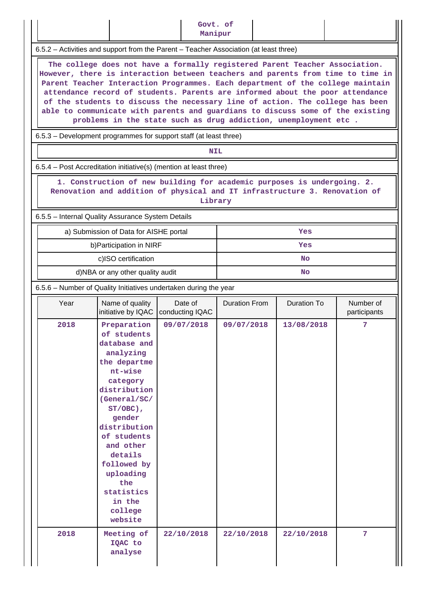|                                                                                                                                                                                                                                                                                                                                                                                                                                                                                                                                                                         |                                                                                                                                                                                                                                                                                                 | Govt. of<br>Manipur        |                      |                    |                           |  |  |  |
|-------------------------------------------------------------------------------------------------------------------------------------------------------------------------------------------------------------------------------------------------------------------------------------------------------------------------------------------------------------------------------------------------------------------------------------------------------------------------------------------------------------------------------------------------------------------------|-------------------------------------------------------------------------------------------------------------------------------------------------------------------------------------------------------------------------------------------------------------------------------------------------|----------------------------|----------------------|--------------------|---------------------------|--|--|--|
| 6.5.2 – Activities and support from the Parent – Teacher Association (at least three)                                                                                                                                                                                                                                                                                                                                                                                                                                                                                   |                                                                                                                                                                                                                                                                                                 |                            |                      |                    |                           |  |  |  |
| The college does not have a formally registered Parent Teacher Association.<br>However, there is interaction between teachers and parents from time to time in<br>Parent Teacher Interaction Programmes. Each department of the college maintain<br>attendance record of students. Parents are informed about the poor attendance<br>of the students to discuss the necessary line of action. The college has been<br>able to communicate with parents and guardians to discuss some of the existing<br>problems in the state such as drug addiction, unemployment etc. |                                                                                                                                                                                                                                                                                                 |                            |                      |                    |                           |  |  |  |
|                                                                                                                                                                                                                                                                                                                                                                                                                                                                                                                                                                         | 6.5.3 – Development programmes for support staff (at least three)                                                                                                                                                                                                                               |                            |                      |                    |                           |  |  |  |
|                                                                                                                                                                                                                                                                                                                                                                                                                                                                                                                                                                         |                                                                                                                                                                                                                                                                                                 | <b>NIL</b>                 |                      |                    |                           |  |  |  |
|                                                                                                                                                                                                                                                                                                                                                                                                                                                                                                                                                                         | 6.5.4 – Post Accreditation initiative(s) (mention at least three)                                                                                                                                                                                                                               |                            |                      |                    |                           |  |  |  |
| 1. Construction of new building for academic purposes is undergoing. 2.<br>Renovation and addition of physical and IT infrastructure 3. Renovation of<br>Library<br>6.5.5 - Internal Quality Assurance System Details                                                                                                                                                                                                                                                                                                                                                   |                                                                                                                                                                                                                                                                                                 |                            |                      |                    |                           |  |  |  |
|                                                                                                                                                                                                                                                                                                                                                                                                                                                                                                                                                                         | a) Submission of Data for AISHE portal                                                                                                                                                                                                                                                          |                            |                      | Yes                |                           |  |  |  |
|                                                                                                                                                                                                                                                                                                                                                                                                                                                                                                                                                                         | b) Participation in NIRF                                                                                                                                                                                                                                                                        |                            | Yes                  |                    |                           |  |  |  |
|                                                                                                                                                                                                                                                                                                                                                                                                                                                                                                                                                                         | c)ISO certification                                                                                                                                                                                                                                                                             |                            | No                   |                    |                           |  |  |  |
|                                                                                                                                                                                                                                                                                                                                                                                                                                                                                                                                                                         | d)NBA or any other quality audit                                                                                                                                                                                                                                                                |                            | No                   |                    |                           |  |  |  |
| 6.5.6 – Number of Quality Initiatives undertaken during the year                                                                                                                                                                                                                                                                                                                                                                                                                                                                                                        |                                                                                                                                                                                                                                                                                                 |                            |                      |                    |                           |  |  |  |
| Year                                                                                                                                                                                                                                                                                                                                                                                                                                                                                                                                                                    | Name of quality<br>initiative by IQAC                                                                                                                                                                                                                                                           | Date of<br>conducting IQAC | <b>Duration From</b> | <b>Duration To</b> | Number of<br>participants |  |  |  |
| 2018                                                                                                                                                                                                                                                                                                                                                                                                                                                                                                                                                                    | Preparation<br>of students<br>database and<br>analyzing<br>the departme<br>nt-wise<br>category<br>distribution<br>(General/SC/<br>$ST/OBC$ ),<br>gender<br>distribution<br>of students<br>and other<br>details<br>followed by<br>uploading<br>the<br>statistics<br>in the<br>college<br>website | 09/07/2018                 | 09/07/2018           | 13/08/2018         | 7                         |  |  |  |
| 2018                                                                                                                                                                                                                                                                                                                                                                                                                                                                                                                                                                    | Meeting of<br>IQAC to<br>analyse                                                                                                                                                                                                                                                                | 22/10/2018                 | 22/10/2018           | 22/10/2018         | 7                         |  |  |  |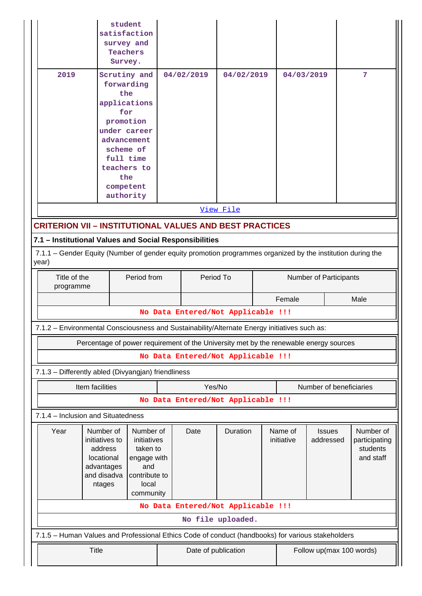|                                                                                                                                                                                |                                                      | student<br><b>Teachers</b><br>Survey.                                                             | satisfaction<br>survey and                                                                                                      |                                     |                     |                                                                                       |                       |            |                            |      |                                                     |
|--------------------------------------------------------------------------------------------------------------------------------------------------------------------------------|------------------------------------------------------|---------------------------------------------------------------------------------------------------|---------------------------------------------------------------------------------------------------------------------------------|-------------------------------------|---------------------|---------------------------------------------------------------------------------------|-----------------------|------------|----------------------------|------|-----------------------------------------------------|
| 2019                                                                                                                                                                           |                                                      | the<br>for<br>the                                                                                 | Scrutiny and<br>forwarding<br>applications<br>promotion<br>under career<br>advancement<br>scheme of<br>full time<br>teachers to |                                     | 04/02/2019          | 04/02/2019                                                                            |                       | 04/03/2019 |                            |      | 7                                                   |
|                                                                                                                                                                                |                                                      |                                                                                                   | competent<br>authority                                                                                                          |                                     |                     |                                                                                       |                       |            |                            |      |                                                     |
|                                                                                                                                                                                |                                                      |                                                                                                   |                                                                                                                                 |                                     |                     | View File                                                                             |                       |            |                            |      |                                                     |
| <b>CRITERION VII - INSTITUTIONAL VALUES AND BEST PRACTICES</b>                                                                                                                 |                                                      |                                                                                                   |                                                                                                                                 |                                     |                     |                                                                                       |                       |            |                            |      |                                                     |
|                                                                                                                                                                                |                                                      |                                                                                                   |                                                                                                                                 |                                     |                     |                                                                                       |                       |            |                            |      |                                                     |
| 7.1 - Institutional Values and Social Responsibilities<br>7.1.1 - Gender Equity (Number of gender equity promotion programmes organized by the institution during the<br>year) |                                                      |                                                                                                   |                                                                                                                                 |                                     |                     |                                                                                       |                       |            |                            |      |                                                     |
| Title of the<br>Period from<br>programme                                                                                                                                       |                                                      |                                                                                                   |                                                                                                                                 | Period To<br>Number of Participants |                     |                                                                                       |                       |            |                            |      |                                                     |
|                                                                                                                                                                                |                                                      |                                                                                                   |                                                                                                                                 |                                     |                     |                                                                                       |                       | Female     |                            | Male |                                                     |
| No Data Entered/Not Applicable !!!                                                                                                                                             |                                                      |                                                                                                   |                                                                                                                                 |                                     |                     |                                                                                       |                       |            |                            |      |                                                     |
| 7.1.2 - Environmental Consciousness and Sustainability/Alternate Energy initiatives such as:                                                                                   |                                                      |                                                                                                   |                                                                                                                                 |                                     |                     |                                                                                       |                       |            |                            |      |                                                     |
|                                                                                                                                                                                |                                                      |                                                                                                   |                                                                                                                                 |                                     |                     | Percentage of power requirement of the University met by the renewable energy sources |                       |            |                            |      |                                                     |
|                                                                                                                                                                                |                                                      |                                                                                                   |                                                                                                                                 |                                     |                     | No Data Entered/Not Applicable !!!                                                    |                       |            |                            |      |                                                     |
| 7.1.3 - Differently abled (Divyangjan) friendliness                                                                                                                            |                                                      |                                                                                                   |                                                                                                                                 |                                     |                     |                                                                                       |                       |            |                            |      |                                                     |
|                                                                                                                                                                                | Item facilities<br>Yes/No<br>Number of beneficiaries |                                                                                                   |                                                                                                                                 |                                     |                     |                                                                                       |                       |            |                            |      |                                                     |
|                                                                                                                                                                                |                                                      |                                                                                                   |                                                                                                                                 |                                     |                     | No Data Entered/Not Applicable !!!                                                    |                       |            |                            |      |                                                     |
| 7.1.4 - Inclusion and Situatedness                                                                                                                                             |                                                      |                                                                                                   |                                                                                                                                 |                                     |                     |                                                                                       |                       |            |                            |      |                                                     |
| Year<br>Number of<br>initiatives to<br>address<br>locational<br>advantages<br>and disadva<br>ntages                                                                            |                                                      | Number of<br>initiatives<br>taken to<br>engage with<br>and<br>contribute to<br>local<br>community |                                                                                                                                 |                                     | Date                | Duration                                                                              | Name of<br>initiative |            | <b>Issues</b><br>addressed |      | Number of<br>participating<br>students<br>and staff |
| No Data Entered/Not Applicable !!!                                                                                                                                             |                                                      |                                                                                                   |                                                                                                                                 |                                     |                     |                                                                                       |                       |            |                            |      |                                                     |
| No file uploaded.                                                                                                                                                              |                                                      |                                                                                                   |                                                                                                                                 |                                     |                     |                                                                                       |                       |            |                            |      |                                                     |
| 7.1.5 - Human Values and Professional Ethics Code of conduct (handbooks) for various stakeholders                                                                              |                                                      |                                                                                                   |                                                                                                                                 |                                     |                     |                                                                                       |                       |            |                            |      |                                                     |
| <b>Title</b>                                                                                                                                                                   |                                                      |                                                                                                   |                                                                                                                                 |                                     | Date of publication | Follow up(max 100 words)                                                              |                       |            |                            |      |                                                     |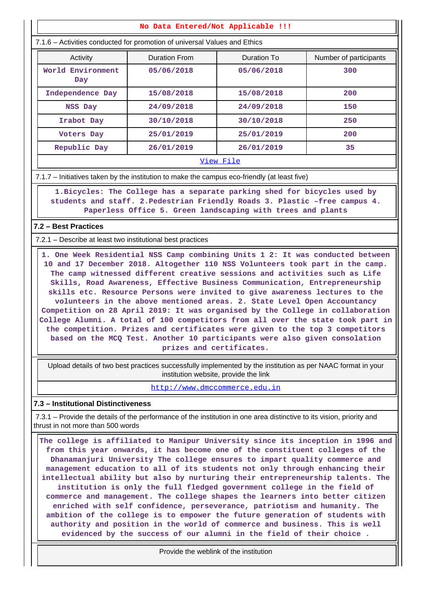#### **No Data Entered/Not Applicable !!!**

7.1.6 – Activities conducted for promotion of universal Values and Ethics

| Activity                 | Duration From | Duration To | Number of participants |  |  |  |
|--------------------------|---------------|-------------|------------------------|--|--|--|
| World Environment<br>Day | 05/06/2018    | 05/06/2018  | 300                    |  |  |  |
| Independence Day         | 15/08/2018    | 15/08/2018  | 200                    |  |  |  |
| NSS Day                  | 24/09/2018    | 24/09/2018  | 150                    |  |  |  |
| Irabot Day               | 30/10/2018    | 30/10/2018  | 250                    |  |  |  |
| Voters Day               | 25/01/2019    | 25/01/2019  | 200                    |  |  |  |
| Republic Day             | 26/01/2019    | 26/01/2019  | 35                     |  |  |  |
| View File                |               |             |                        |  |  |  |

7.1.7 – Initiatives taken by the institution to make the campus eco-friendly (at least five)

 **1.Bicycles: The College has a separate parking shed for bicycles used by students and staff. 2.Pedestrian Friendly Roads 3. Plastic –free campus 4. Paperless Office 5. Green landscaping with trees and plants**

# **7.2 – Best Practices**

7.2.1 – Describe at least two institutional best practices

 **1. One Week Residential NSS Camp combining Units 1 2: It was conducted between 10 and 17 December 2018. Altogether 110 NSS Volunteers took part in the camp. The camp witnessed different creative sessions and activities such as Life Skills, Road Awareness, Effective Business Communication, Entrepreneurship skills etc. Resource Persons were invited to give awareness lectures to the volunteers in the above mentioned areas. 2. State Level Open Accountancy Competition on 28 April 2019: It was organised by the College in collaboration College Alumni. A total of 100 competitors from all over the state took part in the competition. Prizes and certificates were given to the top 3 competitors based on the MCQ Test. Another 10 participants were also given consolation prizes and certificates.**

 Upload details of two best practices successfully implemented by the institution as per NAAC format in your institution website, provide the link

<http://www.dmccommerce.edu.in>

#### **7.3 – Institutional Distinctiveness**

 7.3.1 – Provide the details of the performance of the institution in one area distinctive to its vision, priority and thrust in not more than 500 words

 **The college is affiliated to Manipur University since its inception in 1996 and from this year onwards, it has become one of the constituent colleges of the Dhanamanjuri University The college ensures to impart quality commerce and management education to all of its students not only through enhancing their intellectual ability but also by nurturing their entrepreneurship talents. The institution is only the full fledged government college in the field of commerce and management. The college shapes the learners into better citizen enriched with self confidence, perseverance, patriotism and humanity. The ambition of the college is to empower the future generation of students with authority and position in the world of commerce and business. This is well evidenced by the success of our alumni in the field of their choice .**

Provide the weblink of the institution